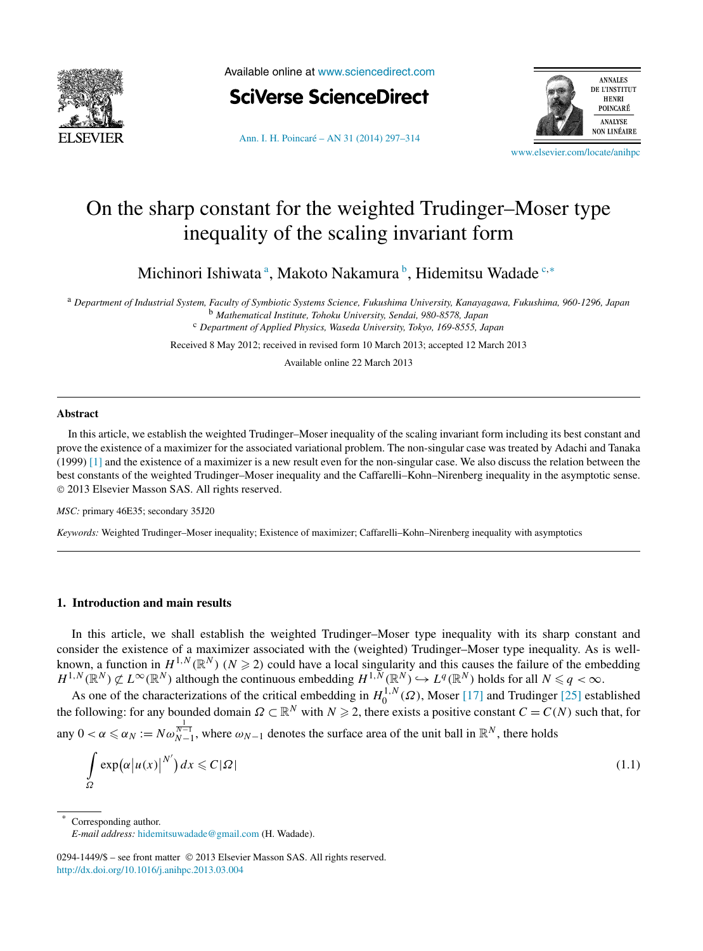<span id="page-0-0"></span>

Available online at [www.sciencedirect.com](http://www.sciencedirect.com)



**ANNALES** DE L'INSTITUT **HENRI** POINCARÉ ANALYSE **NON LINÉAIRE** 

[Ann. I. H. Poincaré – AN 31 \(2014\) 297–314](http://dx.doi.org/10.1016/j.anihpc.2013.03.004)

[www.elsevier.com/locate/anihpc](http://www.elsevier.com/locate/anihpc)

# On the sharp constant for the weighted Trudinger–Moser type inequality of the scaling invariant form

Michinori Ishiwata<sup>a</sup>, Makoto Nakamura<sup>b</sup>, Hidemitsu Wadade<sup>c,∗</sup>

<sup>a</sup> *Department of Industrial System, Faculty of Symbiotic Systems Science, Fukushima University, Kanayagawa, Fukushima, 960-1296, Japan* <sup>b</sup> *Mathematical Institute, Tohoku University, Sendai, 980-8578, Japan* <sup>c</sup> *Department of Applied Physics, Waseda University, Tokyo, 169-8555, Japan*

Received 8 May 2012; received in revised form 10 March 2013; accepted 12 March 2013

Available online 22 March 2013

#### **Abstract**

In this article, we establish the weighted Trudinger–Moser inequality of the scaling invariant form including its best constant and prove the existence of a maximizer for the associated variational problem. The non-singular case was treated by Adachi and Tanaka (1999) [\[1\]](#page-17-0) and the existence of a maximizer is a new result even for the non-singular case. We also discuss the relation between the best constants of the weighted Trudinger–Moser inequality and the Caffarelli–Kohn–Nirenberg inequality in the asymptotic sense. © 2013 Elsevier Masson SAS. All rights reserved.

*MSC:* primary 46E35; secondary 35J20

*Keywords:* Weighted Trudinger–Moser inequality; Existence of maximizer; Caffarelli–Kohn–Nirenberg inequality with asymptotics

### **1. Introduction and main results**

In this article, we shall establish the weighted Trudinger–Moser type inequality with its sharp constant and consider the existence of a maximizer associated with the (weighted) Trudinger–Moser type inequality. As is wellknown, a function in  $H^{1,N}(\mathbb{R}^N)$  ( $N \geq 2$ ) could have a local singularity and this causes the failure of the embedding  $H^{1,N}(\mathbb{R}^N) \not\subset L^\infty(\mathbb{R}^N)$  although the continuous embedding  $H^{1,N}(\mathbb{R}^N) \hookrightarrow L^q(\mathbb{R}^N)$  holds for all  $N \leq q < \infty$ .

As one of the characterizations of the critical embedding in  $H_0^{1,N}(\Omega)$ , Moser [\[17\]](#page-17-0) and Trudinger [\[25\]](#page-17-0) established the following: for any bounded domain  $\Omega \subset \mathbb{R}^N$  with  $N \geq 2$ , there exists a positive constant  $C = C(N)$  such that, for any  $0 < \alpha \le \alpha_N := N \omega_{N-1}^{\frac{1}{N-1}}$ , where  $\omega_{N-1}$  denotes the surface area of the unit ball in  $\mathbb{R}^N$ , there holds

$$
\int_{\Omega} \exp(\alpha |u(x)|^{N'}) dx \leq C|\Omega| \tag{1.1}
$$

Corresponding author.

*E-mail address:* [hidemitsuwadade@gmail.com](mailto:hidemitsuwadade@gmail.com) (H. Wadade).

<sup>0294-1449/\$ –</sup> see front matter © 2013 Elsevier Masson SAS. All rights reserved. <http://dx.doi.org/10.1016/j.anihpc.2013.03.004>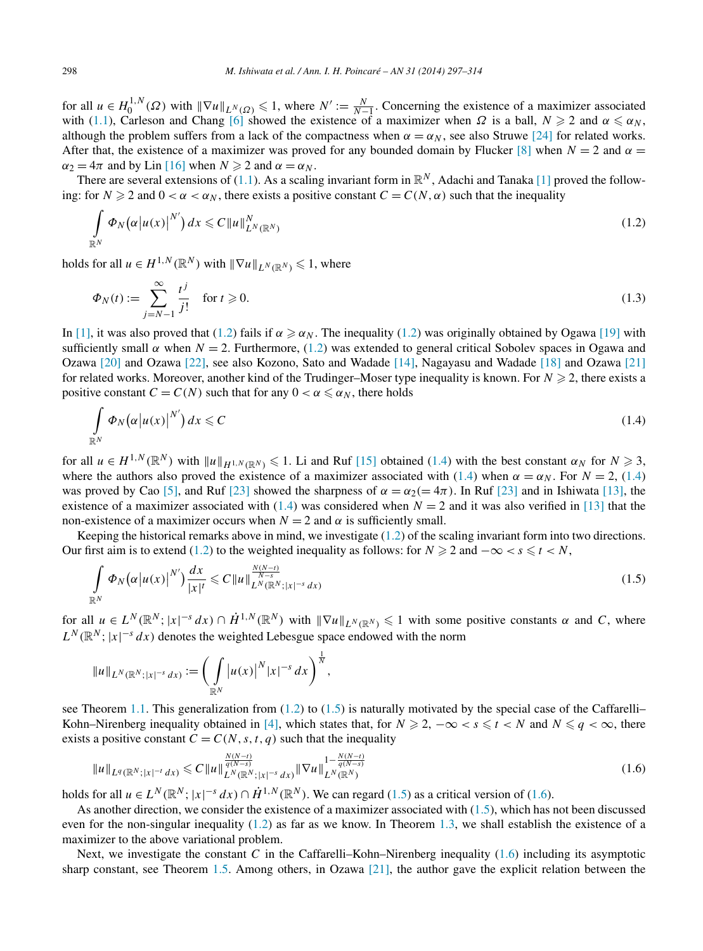<span id="page-1-0"></span>for all  $u \in H_0^{1,N}(\Omega)$  with  $\|\nabla u\|_{L^N(\Omega)} \leq 1$ , where  $N' := \frac{N}{N-1}$ . Concerning the existence of a maximizer associated with [\(1.1\)](#page-0-0), Carleson and Chang [\[6\]](#page-17-0) showed the existence of a maximizer when  $\Omega$  is a ball,  $N \ge 2$  and  $\alpha \le \alpha_N$ , although the problem suffers from a lack of the compactness when  $\alpha = \alpha_N$ , see also Struwe [\[24\]](#page-17-0) for related works. After that, the existence of a maximizer was proved for any bounded domain by Flucker [\[8\]](#page-17-0) when  $N = 2$  and  $\alpha =$  $\alpha_2 = 4\pi$  and by Lin [\[16\]](#page-17-0) when  $N \ge 2$  and  $\alpha = \alpha_N$ .

There are several extensions of [\(1.1\)](#page-0-0). As a scaling invariant form in  $\mathbb{R}^N$ , Adachi and Tanaka [\[1\]](#page-17-0) proved the following: for  $N \ge 2$  and  $0 < \alpha < \alpha_N$ , there exists a positive constant  $C = C(N, \alpha)$  such that the inequality

$$
\int_{\mathbb{R}^N} \Phi_N(\alpha |u(x)|^{N'}) dx \leq C \|u\|_{L^N(\mathbb{R}^N)}^N
$$
\n(1.2)

holds for all  $u \in H^{1,N}(\mathbb{R}^N)$  with  $\|\nabla u\|_{L^N(\mathbb{R}^N)} \leq 1$ , where

$$
\Phi_N(t) := \sum_{j=N-1}^{\infty} \frac{t^j}{j!} \quad \text{for } t \ge 0.
$$
\n(1.3)

In [\[1\],](#page-17-0) it was also proved that (1.2) fails if  $\alpha \ge \alpha_N$ . The inequality (1.2) was originally obtained by Ogawa [\[19\]](#page-17-0) with sufficiently small  $\alpha$  when  $N = 2$ . Furthermore, (1.2) was extended to general critical Sobolev spaces in Ogawa and Ozawa [\[20\]](#page-17-0) and Ozawa [\[22\],](#page-17-0) see also Kozono, Sato and Wadade [\[14\],](#page-17-0) Nagayasu and Wadade [\[18\]](#page-17-0) and Ozawa [\[21\]](#page-17-0) for related works. Moreover, another kind of the Trudinger–Moser type inequality is known. For  $N \geq 2$ , there exists a positive constant  $C = C(N)$  such that for any  $0 < \alpha \le \alpha_N$ , there holds

$$
\int_{\mathbb{R}^N} \Phi_N(\alpha |u(x)|^{N'}) dx \leqslant C \tag{1.4}
$$

for all  $u \in H^{1,N}(\mathbb{R}^N)$  with  $||u||_{H^{1,N}(\mathbb{R}^N)} \le 1$ . Li and Ruf [\[15\]](#page-17-0) obtained (1.4) with the best constant  $\alpha_N$  for  $N \ge 3$ , where the authors also proved the existence of a maximizer associated with (1.4) when  $\alpha = \alpha_N$ . For  $N = 2$ , (1.4) was proved by Cao [\[5\],](#page-17-0) and Ruf [\[23\]](#page-17-0) showed the sharpness of  $\alpha = \alpha_2 (= 4\pi)$ . In Ruf [23] and in Ishiwata [\[13\],](#page-17-0) the existence of a maximizer associated with (1.4) was considered when  $N = 2$  and it was also verified in [\[13\]](#page-17-0) that the non-existence of a maximizer occurs when  $N = 2$  and  $\alpha$  is sufficiently small.

Keeping the historical remarks above in mind, we investigate (1.2) of the scaling invariant form into two directions. Our first aim is to extend (1.2) to the weighted inequality as follows: for  $N \ge 2$  and  $-\infty < s \le t < N$ ,

$$
\int_{\mathbb{R}^N} \Phi_N\big(\alpha\big|u(x)\big|^{N'}\big) \frac{dx}{|x|^t} \leqslant C \|u\|_{L^N(\mathbb{R}^N;|x|^{-s}dx)}^{\frac{N(N-t)}{N-s}} \tag{1.5}
$$

for all  $u \in L^N(\mathbb{R}^N; |x|^{-s} dx) \cap \dot{H}^{1,N}(\mathbb{R}^N)$  with  $\|\nabla u\|_{L^N(\mathbb{R}^N)} \leq 1$  with some positive constants  $\alpha$  and C, where  $L^N(\mathbb{R}^N; |x|^{-s} dx)$  denotes the weighted Lebesgue space endowed with the norm

$$
||u||_{L^N(\mathbb{R}^N;|x|^{-s}dx)} := \bigg(\int_{\mathbb{R}^N} |u(x)|^N |x|^{-s} dx\bigg)^{\frac{1}{N}},
$$

see Theorem [1.1.](#page-2-0) This generalization from  $(1.2)$  to  $(1.5)$  is naturally motivated by the special case of the Caffarelli– Kohn–Nirenberg inequality obtained in [\[4\],](#page-17-0) which states that, for  $N \ge 2$ ,  $-\infty < s \le t < N$  and  $N \le q < \infty$ , there exists a positive constant  $C = C(N, s, t, q)$  such that the inequality

$$
||u||_{L^{q}(\mathbb{R}^{N};|x|^{-t}dx)} \leq C||u||_{L^{N}(\mathbb{R}^{N};|x|^{-s}dx)}^{\frac{N(N-t)}{q(N-s)}}||\nabla u||_{L^{N}(\mathbb{R}^{N})}^{1-\frac{N(N-t)}{q(N-s)}}\tag{1.6}
$$

holds for all  $u \in L^N(\mathbb{R}^N; |x|^{-s} dx) \cap \dot{H}^{1,N}(\mathbb{R}^N)$ . We can regard (1.5) as a critical version of (1.6).

As another direction, we consider the existence of a maximizer associated with (1.5), which has not been discussed even for the non-singular inequality (1.2) as far as we know. In Theorem [1.3,](#page-3-0) we shall establish the existence of a maximizer to the above variational problem.

Next, we investigate the constant *C* in the Caffarelli–Kohn–Nirenberg inequality (1.6) including its asymptotic sharp constant, see Theorem [1.5.](#page-4-0) Among others, in Ozawa [\[21\],](#page-17-0) the author gave the explicit relation between the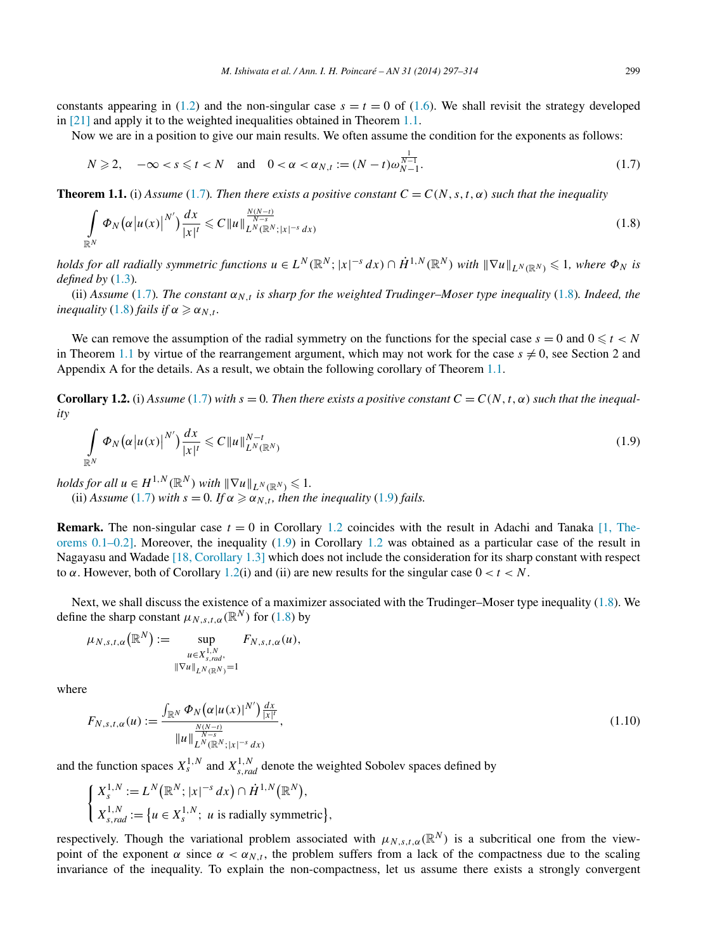<span id="page-2-0"></span>constants appearing in [\(1.2\)](#page-1-0) and the non-singular case  $s = t = 0$  of [\(1.6\)](#page-1-0). We shall revisit the strategy developed in [\[21\]](#page-17-0) and apply it to the weighted inequalities obtained in Theorem 1.1.

Now we are in a position to give our main results. We often assume the condition for the exponents as follows:

$$
N \geq 2, \quad -\infty < s \leq t < N \quad \text{and} \quad 0 < \alpha < \alpha_{N,t} := (N-t)\omega_{N-1}^{\frac{1}{N-1}}.\tag{1.7}
$$

**Theorem 1.1.** (i) *Assume* (1.7)*. Then there exists a positive constant*  $C = C(N, s, t, \alpha)$  *such that the inequality* 

$$
\int_{\mathbb{R}^N} \Phi_N\big(\alpha \big| u(x) \big|^{N'}\big) \frac{dx}{|x|^t} \leqslant C \|u\|_{L^N(\mathbb{R}^N; |x|^{-s} dx)}^{\frac{N(N-t)}{N-s}} \tag{1.8}
$$

holds for all radially symmetric functions  $u \in L^N(\mathbb{R}^N; |x|^{-s} dx) \cap \dot{H}^{1,N}(\mathbb{R}^N)$  with  $\|\nabla u\|_{L^N(\mathbb{R}^N)} \leqslant 1$ , where  $\Phi_N$  is *defined by* [\(1.3\)](#page-1-0)*.*

(ii) Assume (1.7). The constant  $\alpha_{N,t}$  is sharp for the weighted Trudinger–Moser type inequality (1.8). Indeed, the *inequality*  $(1.8)$  *fails if*  $\alpha \geq \alpha_{N,t}$ *.* 

We can remove the assumption of the radial symmetry on the functions for the special case  $s = 0$  and  $0 \le t < N$ in Theorem 1.1 by virtue of the rearrangement argument, which may not work for the case  $s \neq 0$ , see Section 2 and Appendix A for the details. As a result, we obtain the following corollary of Theorem 1.1.

**Corollary 1.2.** (i) *Assume* (1.7) *with*  $s = 0$ . *Then there exists a positive constant*  $C = C(N, t, \alpha)$  *such that the inequality*

$$
\int_{\mathbb{R}^N} \Phi_N(\alpha |u(x)|^{N'}) \frac{dx}{|x|^t} \leqslant C \|u\|_{L^N(\mathbb{R}^N)}^{N-t}
$$
\n(1.9)

*holds for all*  $u \in H^{1,N}(\mathbb{R}^N)$  *with*  $\|\nabla u\|_{L^N(\mathbb{R}^N)} \leq 1$ . (ii) *Assume* (1.7) *with*  $s = 0$ . If  $\alpha \geq \alpha_{N,t}$ , then the inequality (1.9) *fails.* 

**Remark.** The non-singular case  $t = 0$  in Corollary 1.2 coincides with the result in Adachi and Tanaka  $[1,$  The[orems 0.1–0.2\].](#page-17-0) Moreover, the inequality (1.9) in Corollary 1.2 was obtained as a particular case of the result in Nagayasu and Wadade [\[18, Corollary 1.3\]](#page-17-0) which does not include the consideration for its sharp constant with respect to  $\alpha$ . However, both of Corollary 1.2(i) and (ii) are new results for the singular case  $0 < t < N$ .

Next, we shall discuss the existence of a maximizer associated with the Trudinger–Moser type inequality (1.8). We define the sharp constant  $\mu_{N,s,t,\alpha}(\mathbb{R}^N)$  for (1.8) by

$$
\mu_{N,s,t,\alpha}(\mathbb{R}^N) := \sup_{\substack{u \in X^{1,N}_{s,rad}, \\ \|\nabla u\|_{L^N(\mathbb{R}^N)} = 1}} F_{N,s,t,\alpha}(u),
$$

where

$$
F_{N,s,t,\alpha}(u) := \frac{\int_{\mathbb{R}^N} \Phi_N(\alpha|u(x)|^{N'}) \frac{dx}{|x|^t}}{\|u\|_{L^N(\mathbb{R}^N;|x|^{-s} dx)}^{\frac{N(N-t)}{N-s}}},\tag{1.10}
$$

and the function spaces  $X_s^{1,N}$  and  $X_{s,rad}^{1,N}$  denote the weighted Sobolev spaces defined by

$$
\begin{cases} X_s^{1,N} := L^N(\mathbb{R}^N; |x|^{-s} dx) \cap \dot{H}^{1,N}(\mathbb{R}^N), \\ X_{s,rad}^{1,N} := \{ u \in X_s^{1,N}; u \text{ is radially symmetric} \} \end{cases}
$$

respectively. Though the variational problem associated with  $\mu_{N,s,t,\alpha}(\mathbb{R}^N)$  is a subcritical one from the viewpoint of the exponent  $\alpha$  since  $\alpha < \alpha_{N,t}$ , the problem suffers from a lack of the compactness due to the scaling invariance of the inequality. To explain the non-compactness, let us assume there exists a strongly convergent

*,*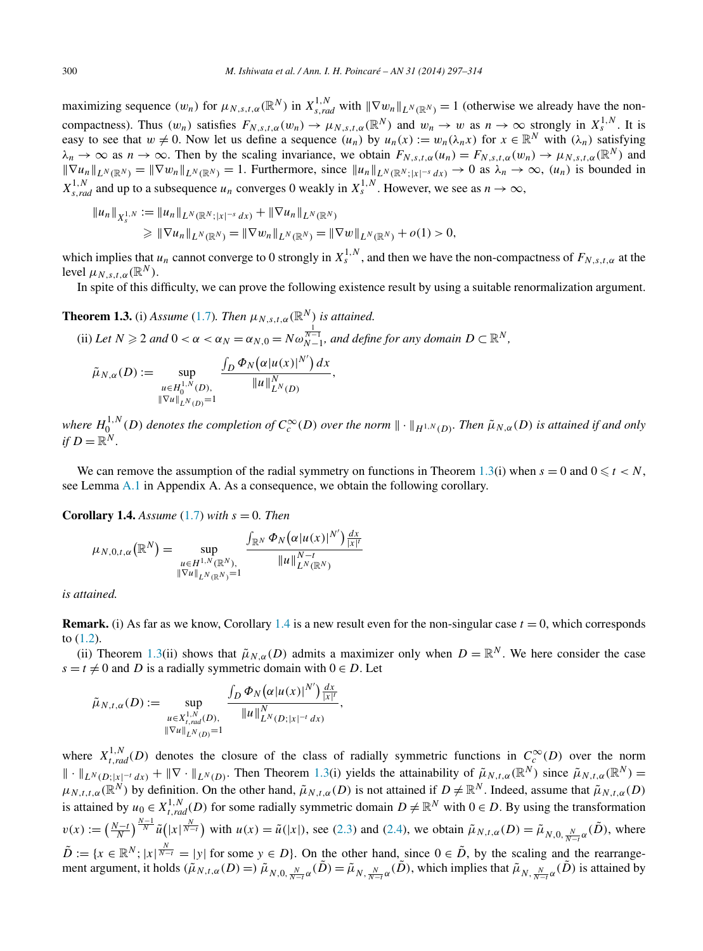<span id="page-3-0"></span>maximizing sequence  $(w_n)$  for  $\mu_{N,s,t,\alpha}(\mathbb{R}^N)$  in  $X_{s,rad}^{1,N}$  with  $\|\nabla w_n\|_{L^N(\mathbb{R}^N)} = 1$  (otherwise we already have the noncompactness). Thus  $(w_n)$  satisfies  $F_{N,s,t,\alpha}(w_n) \to \mu_{N,s,t,\alpha}(\mathbb{R}^N)$  and  $w_n \to w$  as  $n \to \infty$  strongly in  $X_s^{1,N}$ . It is easy to see that  $w \neq 0$ . Now let us define a sequence  $(u_n)$  by  $u_n(x) := w_n(\lambda_n x)$  for  $x \in \mathbb{R}^N$  with  $(\lambda_n)$  satisfying  $\lambda_n \to \infty$  as  $n \to \infty$ . Then by the scaling invariance, we obtain  $F_{N,s,t,\alpha}(u_n) = F_{N,s,t,\alpha}(w_n) \to \mu_{N,s,t,\alpha}(\mathbb{R}^N)$  and  $\|\nabla u_n\|_{L^N(\mathbb{R}^N)} = \|\nabla w_n\|_{L^N(\mathbb{R}^N)} = 1$ . Furthermore, since  $\|u_n\|_{L^N(\mathbb{R}^N; |x|^{-s} dx)} \to 0$  as  $\lambda_n \to \infty$ ,  $(u_n)$  is bounded in  $X_{s,rad}^{1,N}$  and up to a subsequence  $u_n$  converges 0 weakly in  $X_s^{1,N}$ . However, we see as  $n \to \infty$ ,

$$
||u_n||_{X_s^{1,N}} := ||u_n||_{L^N(\mathbb{R}^N;|x|^{-s}dx)} + ||\nabla u_n||_{L^N(\mathbb{R}^N)}
$$
  
\n
$$
\ge ||\nabla u_n||_{L^N(\mathbb{R}^N)} = ||\nabla w_n||_{L^N(\mathbb{R}^N)} = ||\nabla w||_{L^N(\mathbb{R}^N)} + o(1) > 0,
$$

which implies that  $u_n$  cannot converge to 0 strongly in  $X_s^{1,N}$ , and then we have the non-compactness of  $F_{N,s,t,\alpha}$  at the level  $\mu_{N,st,\alpha}(\mathbb{R}^N)$ .

In spite of this difficulty, we can prove the following existence result by using a suitable renormalization argument.

**Theorem 1.3.** (i) Assume (1.7). Then 
$$
\mu_{N,s,t,\alpha}(\mathbb{R}^N)
$$
 is attained.  
\n(ii) Let  $N \ge 2$  and  $0 < \alpha < \alpha_N = \alpha_{N,0} = N\omega_{N-1}^{\frac{1}{N-1}}$ , and define for any domain  $D \subset \mathbb{R}^N$ ,  
\n
$$
\tilde{\mu}_{N,\alpha}(D) := \sup_{\substack{u \in H_0^{1,N}(D), \\ \|\nabla u\|_{L^N(D)} = 1}} \frac{\int_D \Phi_N(\alpha |u(x)|^{N'}) dx}{\|u\|_{L^N(D)}^N},
$$

where  $H_0^{1,N}(D)$  denotes the completion of  $C_c^{\infty}(D)$  over the norm  $\|\cdot\|_{H^{1,N}(D)}$ . Then  $\tilde{\mu}_{N,\alpha}(D)$  is attained if and only *if*  $D = \mathbb{R}^N$ .

We can remove the assumption of the radial symmetry on functions in Theorem 1.3(i) when  $s = 0$  and  $0 \le t < N$ , see Lemma [A.1](#page-14-0) in Appendix A. As a consequence, we obtain the following corollary.

**Corollary 1.4.** *Assume* [\(1.7\)](#page-2-0) *with*  $s = 0$ *. Then* 

$$
\mu_{N,0,t,\alpha}(\mathbb{R}^N) = \sup_{\substack{u \in H^{1,N}(\mathbb{R}^N), \\ \|Vu\|_{LN(\mathbb{R}^N)} = 1}} \frac{\int_{\mathbb{R}^N} \Phi_N(\alpha|u(x)|^{N'}) \frac{dx}{|x|^n}}{\|u\|_{L^N(\mathbb{R}^N)}^{N-t}}
$$

*is attained.*

**Remark.** (i) As far as we know, Corollary 1.4 is a new result even for the non-singular case  $t = 0$ , which corresponds to [\(1.2\)](#page-1-0).

(ii) Theorem 1.3(ii) shows that  $\tilde{\mu}_{N,\alpha}(D)$  admits a maximizer only when  $D = \mathbb{R}^N$ . We here consider the case  $s = t \neq 0$  and *D* is a radially symmetric domain with  $0 \in D$ . Let

$$
\tilde{\mu}_{N,t,\alpha}(D) := \sup_{\substack{u \in X^{1,N}_{t,rad}(D), \\ ||\nabla u||_{LN(D)} = 1}} \frac{\int_D \Phi_N(\alpha|u(x)|^{N'}) \frac{dx}{|x|^t}}{||u||_{L^N(D;|x|^{-t} dx)}^N},
$$

where  $X_{t,rad}^{1,N}(D)$  denotes the closure of the class of radially symmetric functions in  $C_c^{\infty}(D)$  over the norm  $\|\cdot\|_{L^N(D;|x|^{-t}dx)} + \|\nabla \cdot\|_{L^N(D)}$ . Then Theorem 1.3(i) yields the attainability of  $\tilde{\mu}_{N,t,\alpha}(\mathbb{R}^N)$  since  $\tilde{\mu}_{N,t,\alpha}(\mathbb{R}^N)$  $\mu_{N,t,t,\alpha}(\mathbb{R}^N)$  by definition. On the other hand,  $\tilde{\mu}_{N,t,\alpha}(D)$  is not attained if  $D \neq \mathbb{R}^N$ . Indeed, assume that  $\tilde{\mu}_{N,t,\alpha}(D)$ is attained by  $u_0 \in X^{1,N}_{t,rad}(D)$  for some radially symmetric domain  $D \neq \mathbb{R}^N$  with  $0 \in D$ . By using the transformation  $v(x) := \left(\frac{N-t}{N}\right)^{\frac{N-1}{N}} \tilde{u}\left(|x|^{\frac{N}{N-t}}\right)$  with  $u(x) = \tilde{u}(|x|)$ , see [\(2.3\)](#page-5-0) and [\(2.4\)](#page-5-0), we obtain  $\tilde{\mu}_{N,t,\alpha}(D) = \tilde{\mu}_{N,0,\frac{N}{N-t}\alpha}(\tilde{D})$ , where  $\tilde{D} := \{x \in \mathbb{R}^N; |x| \frac{N}{N-t} = |y| \text{ for some } y \in D\}$ . On the other hand, since  $0 \in \tilde{D}$ , by the scaling and the rearrangement argument, it holds  $(\tilde{\mu}_{N,t,\alpha}(D)) = \tilde{\mu}_{N,0,\frac{N}{N-t}\alpha}(\tilde{D}) = \tilde{\mu}_{N,\frac{N}{N-t}\alpha}(\tilde{D})$ , which implies that  $\tilde{\mu}_{N,\frac{N}{N-t}\alpha}(\tilde{D})$  is attained by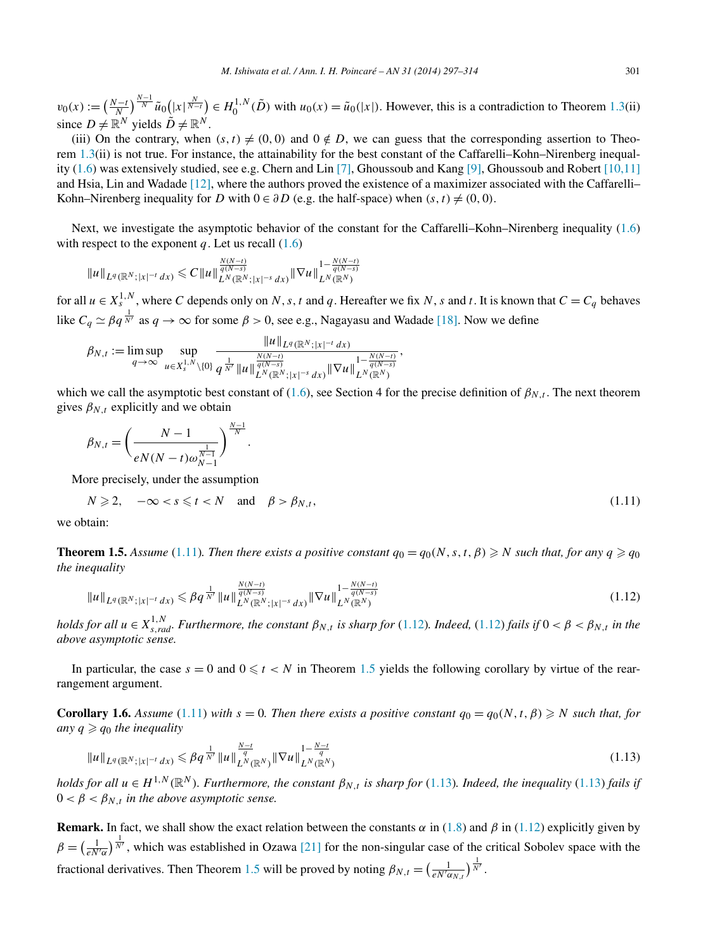<span id="page-4-0"></span> $v_0(x) := \left(\frac{N-t}{N}\right)^{\frac{N-1}{N}} \tilde{u}_0\left(\left|x\right|^{\frac{N}{N-t}}\right) \in H_0^{1,N}(\tilde{D})$  with  $u_0(x) = \tilde{u}_0(\left|x\right|)$ . However, this is a contradiction to Theorem [1.3\(](#page-3-0)ii) since  $D \neq \mathbb{R}^N$  yields  $\tilde{D} \neq \mathbb{R}^N$ .

(iii) On the contrary, when  $(s, t) \neq (0, 0)$  and  $0 \notin D$ , we can guess that the corresponding assertion to Theorem [1.3\(](#page-3-0)ii) is not true. For instance, the attainability for the best constant of the Caffarelli–Kohn–Nirenberg inequality [\(1.6\)](#page-1-0) was extensively studied, see e.g. Chern and Lin [\[7\],](#page-17-0) Ghoussoub and Kang [\[9\],](#page-17-0) Ghoussoub and Robert [\[10,11\]](#page-17-0) and Hsia, Lin and Wadade [\[12\],](#page-17-0) where the authors proved the existence of a maximizer associated with the Caffarelli– Kohn–Nirenberg inequality for *D* with  $0 \in \partial D$  (e.g. the half-space) when  $(s, t) \neq (0, 0)$ .

Next, we investigate the asymptotic behavior of the constant for the Caffarelli–Kohn–Nirenberg inequality [\(1.6\)](#page-1-0) with respect to the exponent  $q$ . Let us recall  $(1.6)$ 

$$
||u||_{L^{q}(\mathbb{R}^{N};|x|^{-t}dx)} \leq C||u||_{L^{N}(\mathbb{R}^{N};|x|^{-s}dx)}^{\frac{N(N-t)}{q(N-s)}}||\nabla u||_{L^{N}(\mathbb{R}^{N})}^{1-\frac{N(N-t)}{q(N-s)}}
$$

for all  $u \in X_s^{1,N}$ , where *C* depends only on *N*, *s*, *t* and *q*. Hereafter we fix *N*, *s* and *t*. It is known that  $C = C_q$  behaves like  $C_q \simeq \beta q^{\frac{1}{N'}}$  as  $q \to \infty$  for some  $\beta > 0$ , see e.g., Nagayasu and Wadade [\[18\].](#page-17-0) Now we define

$$
\beta_{N,t} := \limsup_{q \to \infty} \sup_{u \in X_s^{1,N} \setminus \{0\}} \frac{\|u\|_{L^q(\mathbb{R}^N;|x|^{-t} dx)}}{q^{\frac{1}{N'}} \|u\|_{L^N(\mathbb{R}^N;|x|^{-s} dx)}^{\frac{N(N-t)}{q(N-s)}}} \|\nabla u\|_{L^N(\mathbb{R}^N)}^{1-\frac{N(N-t)}{q(N-s)}},
$$

which we call the asymptotic best constant of [\(1.6\)](#page-1-0), see Section 4 for the precise definition of  $\beta_{N,t}$ . The next theorem gives  $\beta_{N,t}$  explicitly and we obtain

$$
\beta_{N,t} = \left(\frac{N-1}{eN(N-t)\omega_{N-1}^{\frac{1}{N-1}}}\right)^{\frac{N-1}{N}}.
$$

More precisely, under the assumption

$$
N \geqslant 2, \quad -\infty < s \leqslant t < N \quad \text{and} \quad \beta > \beta_{N,t}, \tag{1.11}
$$

we obtain:

**Theorem 1.5.** Assume (1.11). Then there exists a positive constant  $q_0 = q_0(N, s, t, \beta) \geq N$  such that, for any  $q \geq q_0$ *the inequality*

$$
||u||_{L^{q}(\mathbb{R}^{N};|x|^{-t}dx)} \leq \beta q^{\frac{1}{N'}} ||u||_{L^{N}(\mathbb{R}^{N};|x|^{-s}dx)}^{\frac{N(N-t)}{q(N-s)}} ||\nabla u||_{L^{N}(\mathbb{R}^{N})}^{1-\frac{N(N-t)}{q(N-s)}} \tag{1.12}
$$

*holds for all*  $u \in X^{1,N}_{s,rad}$ *. Furthermore, the constant*  $\beta_{N,t}$  *is sharp for* (1.12)*. Indeed,* (1.12) *fails if*  $0 < \beta < \beta_{N,t}$  *in the above asymptotic sense.*

In particular, the case  $s = 0$  and  $0 \le t < N$  in Theorem 1.5 yields the following corollary by virtue of the rearrangement argument.

**Corollary 1.6.** Assume (1.11) with  $s = 0$ . Then there exists a positive constant  $q_0 = q_0(N, t, \beta) \geq N$  such that, for *any*  $q \geqslant q_0$  *the inequality* 

$$
||u||_{L^{q}(\mathbb{R}^{N};|x|^{-t}dx)} \leqslant \beta q^{\frac{1}{N'}} ||u||_{L^{N}(\mathbb{R}^{N})}^{\frac{N-t}{q}} ||\nabla u||_{L^{N}(\mathbb{R}^{N})}^{1-\frac{N-t}{q}}
$$
\n(1.13)

*holds for all*  $u \in H^{1,N}(\mathbb{R}^N)$ *. Furthermore, the constant*  $\beta_{N,t}$  *is sharp for* (1.13)*. Indeed, the inequality* (1.13) *fails if*  $0 < \beta < \beta_{N,t}$  *in the above asymptotic sense.* 

**Remark.** In fact, we shall show the exact relation between the constants  $\alpha$  in [\(1.8\)](#page-2-0) and  $\beta$  in (1.12) explicitly given by  $\beta = \left(\frac{1}{eN'\alpha}\right)^{\frac{1}{N'}}$ , which was established in Ozawa [\[21\]](#page-17-0) for the non-singular case of the critical Sobolev space with the fractional derivatives. Then Theorem 1.5 will be proved by noting  $\beta_{N,t} = \left(\frac{1}{e^{N' \alpha_{N,t}}}\right)^{\frac{1}{N'}}$ .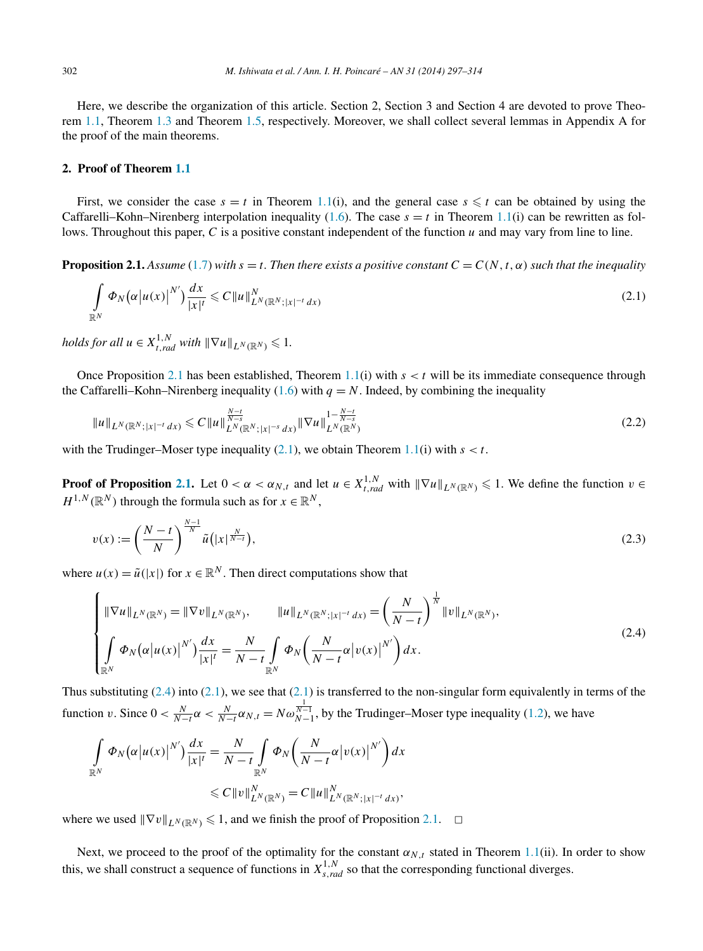<span id="page-5-0"></span>Here, we describe the organization of this article. Section 2, Section 3 and Section 4 are devoted to prove Theorem [1.1,](#page-2-0) Theorem [1.3](#page-3-0) and Theorem [1.5,](#page-4-0) respectively. Moreover, we shall collect several lemmas in Appendix A for the proof of the main theorems.

#### **2. Proof of Theorem [1.1](#page-2-0)**

First, we consider the case  $s = t$  in Theorem [1.1\(](#page-2-0)i), and the general case  $s \leq t$  can be obtained by using the Caffarelli–Kohn–Nirenberg interpolation inequality [\(1.6\)](#page-1-0). The case  $s = t$  in Theorem [1.1\(](#page-2-0)i) can be rewritten as follows. Throughout this paper, *C* is a positive constant independent of the function *u* and may vary from line to line.

**Proposition 2.1.** *Assume* [\(1.7\)](#page-2-0) *with*  $s = t$ *. Then there exists a positive constant*  $C = C(N, t, \alpha)$  *such that the inequality* 

$$
\int_{\mathbb{R}^N} \Phi_N(\alpha|u(x)|^{N'}) \frac{dx}{|x|^t} \leqslant C \|u\|_{L^N(\mathbb{R}^N;|x|^{-t}dx)}^N
$$
\n(2.1)

*holds for all*  $u \in X_{t,rad}^{1,N}$  *with*  $\|\nabla u\|_{L^N(\mathbb{R}^N)} \leq 1$ .

Once Proposition 2.1 has been established, Theorem [1.1\(](#page-2-0)i) with  $s < t$  will be its immediate consequence through the Caffarelli–Kohn–Nirenberg inequality [\(1.6\)](#page-1-0) with  $q = N$ . Indeed, by combining the inequality

$$
||u||_{L^{N}(\mathbb{R}^{N};|x|^{-t}dx)} \leq C||u||_{L^{N}(\mathbb{R}^{N};|x|^{-s}dx)}^{\frac{N-t}{N-s}}||\nabla u||_{L^{N}(\mathbb{R}^{N})}^{1-\frac{N-t}{N-s}} \tag{2.2}
$$

with the Trudinger–Moser type inequality  $(2.1)$ , we obtain Theorem [1.1\(](#page-2-0)i) with  $s < t$ .

**Proof of Proposition 2.1.** Let  $0 < \alpha < \alpha_N$ , *t* and let  $u \in X^{1,N}_{t,rad}$  with  $\|\nabla u\|_{L^N(\mathbb{R}^N)} \leq 1$ . We define the function  $v \in$  $H^{1,N}(\mathbb{R}^N)$  through the formula such as for  $x \in \mathbb{R}^N$ ,

$$
v(x) := \left(\frac{N-t}{N}\right)^{\frac{N-1}{N}} \tilde{u}\left(|x|^{\frac{N}{N-t}}\right),\tag{2.3}
$$

where  $u(x) = \tilde{u}(|x|)$  for  $x \in \mathbb{R}^N$ . Then direct computations show that

$$
\begin{cases} \|\nabla u\|_{L^{N}(\mathbb{R}^{N})} = \|\nabla v\|_{L^{N}(\mathbb{R}^{N})}, & \|u\|_{L^{N}(\mathbb{R}^{N};|x|^{-t}dx)} = \left(\frac{N}{N-t}\right)^{\frac{1}{N}}\|v\|_{L^{N}(\mathbb{R}^{N})},\\ \int_{\mathbb{R}^{N}} \Phi_{N}\big(\alpha|u(x)|^{N'}\big) \frac{dx}{|x|^{t}} = \frac{N}{N-t} \int_{\mathbb{R}^{N}} \Phi_{N}\big(\frac{N}{N-t}\alpha|v(x)|^{N'}\big) dx. \end{cases}
$$
\n(2.4)

Thus substituting  $(2.4)$  into  $(2.1)$ , we see that  $(2.1)$  is transferred to the non-singular form equivalently in terms of the function *v*. Since  $0 < \frac{N}{N-t}\alpha < \frac{N}{N-t}\alpha_{N,t} = N\omega_{N-1}^{\frac{1}{N-1}}$ , by the Trudinger–Moser type inequality [\(1.2\)](#page-1-0), we have

$$
\int_{\mathbb{R}^N} \Phi_N(\alpha |u(x)|^{N'}) \frac{dx}{|x|^t} = \frac{N}{N-t} \int_{\mathbb{R}^N} \Phi_N\left(\frac{N}{N-t} \alpha |v(x)|^{N'}\right) dx
$$
  

$$
\leq C ||v||_{L^N(\mathbb{R}^N)}^N = C ||u||_{L^N(\mathbb{R}^N;|x|^{-t} dx)}^N,
$$

where we used  $\|\nabla v\|_{L^N(\mathbb{R}^N)} \leq 1$ , and we finish the proof of Proposition 2.1.  $\Box$ 

Next, we proceed to the proof of the optimality for the constant  $\alpha_{N,t}$  stated in Theorem [1.1\(](#page-2-0)ii). In order to show this, we shall construct a sequence of functions in  $X^{1,N}_{s,rad}$  so that the corresponding functional diverges.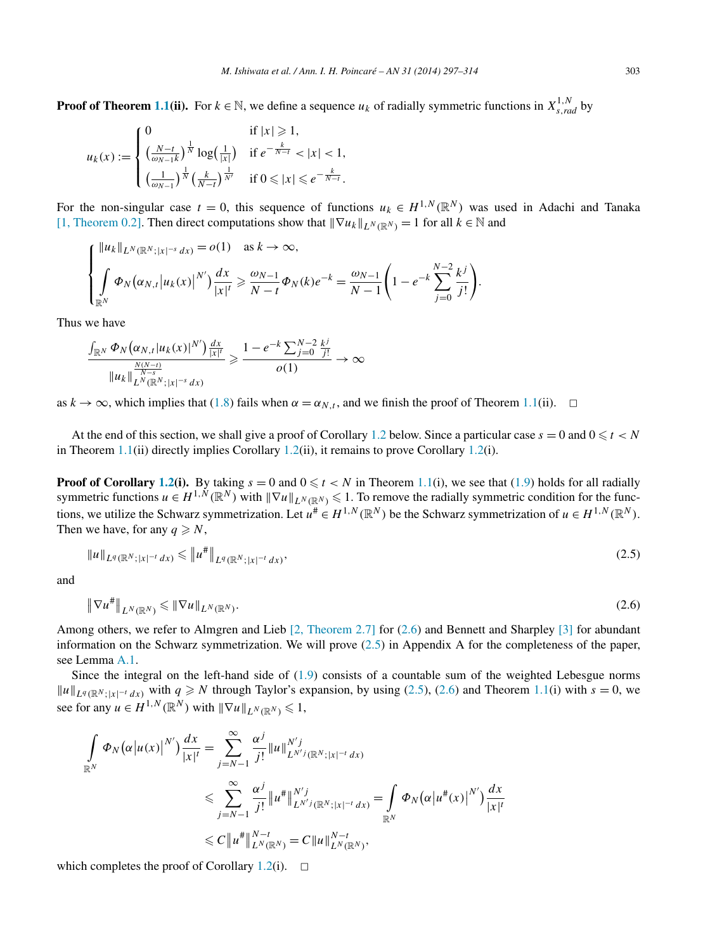<span id="page-6-0"></span>**Proof of Theorem [1.1\(](#page-2-0)ii).** For  $k \in \mathbb{N}$ , we define a sequence  $u_k$  of radially symmetric functions in  $X_{s,rad}^{1,N}$  by

$$
u_k(x) := \begin{cases} 0 & \text{if } |x| \ge 1, \\ \left(\frac{N-t}{\omega_{N-1}k}\right)^{\frac{1}{N}} \log\left(\frac{1}{|x|}\right) & \text{if } e^{-\frac{k}{N-t}} < |x| < 1, \\ \left(\frac{1}{\omega_{N-1}}\right)^{\frac{1}{N}} \left(\frac{k}{N-t}\right)^{\frac{1}{N'}} & \text{if } 0 \le |x| \le e^{-\frac{k}{N-t}}. \end{cases}
$$

For the non-singular case  $t = 0$ , this sequence of functions  $u_k \in H^{1,N}(\mathbb{R}^N)$  was used in Adachi and Tanaka [\[1, Theorem 0.2\].](#page-17-0) Then direct computations show that  $\|\nabla u_k\|_{L^N(\mathbb{R}^N)} = 1$  for all  $k \in \mathbb{N}$  and

*.*

$$
\begin{cases} ||u_k||_{L^N(\mathbb{R}^N;|x|^{-s} dx)} = o(1) & \text{as } k \to \infty, \\ \int_{\mathbb{R}^N} \Phi_N(\alpha_{N,t} |u_k(x)|^{N'}) \frac{dx}{|x|^t} \ge \frac{\omega_{N-1}}{N-t} \Phi_N(k) e^{-k} = \frac{\omega_{N-1}}{N-1} \left( 1 - e^{-k} \sum_{j=0}^{N-2} \frac{k^j}{j!} \right) \end{cases}
$$

Thus we have

$$
\frac{\int_{\mathbb{R}^N} \Phi_N(\alpha_{N,t}|u_k(x)|^{N'}) \frac{dx}{|x|^t}}{\|u_k\|_{L^N(\mathbb{R}^N;|x|^{-s}dx)}^{N-s}} \geq \frac{1 - e^{-k} \sum_{j=0}^{N-2} \frac{k^j}{j!}}{o(1)} \to \infty
$$

as  $k \to \infty$ , which implies that [\(1.8\)](#page-2-0) fails when  $\alpha = \alpha_{N,t}$ , and we finish the proof of Theorem [1.1\(](#page-2-0)ii).  $\Box$ 

At the end of this section, we shall give a proof of Corollary [1.2](#page-2-0) below. Since a particular case  $s = 0$  and  $0 \le t < N$ in Theorem [1.1\(](#page-2-0)ii) directly implies Corollary [1.2\(](#page-2-0)ii), it remains to prove Corollary 1.2(i).

**Proof of Corollary [1.2\(](#page-2-0)i).** By taking  $s = 0$  and  $0 \le t < N$  in Theorem [1.1\(](#page-2-0)i), we see that [\(1.9\)](#page-2-0) holds for all radially symmetric functions  $u \in H^{1, N}(\mathbb{R}^N)$  with  $\|\nabla u\|_{L^N(\mathbb{R}^N)} \leq 1$ . To remove the radially symmetric condition for the functions, we utilize the Schwarz symmetrization. Let  $u^{\#} \in H^{1,N}(\mathbb{R}^N)$  be the Schwarz symmetrization of  $u \in H^{1,N}(\mathbb{R}^N)$ . Then we have, for any  $q \ge N$ ,

$$
\|u\|_{L^{q}(\mathbb{R}^{N};|x|^{-t}dx)} \leq \|u^{\#}\|_{L^{q}(\mathbb{R}^{N};|x|^{-t}dx)},
$$
\n(2.5)

and

$$
\|\nabla u^{\#}\|_{L^N(\mathbb{R}^N)} \leq \|\nabla u\|_{L^N(\mathbb{R}^N)}.
$$
\n(2.6)

Among others, we refer to Almgren and Lieb [2, [Theorem 2.7\]](#page-17-0) for (2.6) and Bennett and Sharpley [\[3\]](#page-17-0) for abundant information on the Schwarz symmetrization. We will prove (2.5) in Appendix A for the completeness of the paper, see Lemma [A.1.](#page-14-0)

Since the integral on the left-hand side of [\(1.9\)](#page-2-0) consists of a countable sum of the weighted Lebesgue norms  $||u||_{L^q(\mathbb{R}^N; |x|^{-t} dx)}$  with  $q \ge N$  through Taylor's expansion, by using (2.5), (2.6) and Theorem [1.1\(](#page-2-0)i) with  $s = 0$ , we see for any  $u \in H^{1,N}(\mathbb{R}^N)$  with  $\|\nabla u\|_{L^N(\mathbb{R}^N)} \leq 1$ ,

$$
\int_{\mathbb{R}^N} \Phi_N(\alpha |u(x)|^{N'}) \frac{dx}{|x|^t} = \sum_{j=N-1}^{\infty} \frac{\alpha^j}{j!} ||u||_{L^{N'j}(\mathbb{R}^N;|x|^{-t} dx)}^{N'j}
$$
  

$$
\leqslant \sum_{j=N-1}^{\infty} \frac{\alpha^j}{j!} ||u^*||_{L^{N'j}(\mathbb{R}^N;|x|^{-t} dx)}^{N'j} = \int_{\mathbb{R}^N} \Phi_N(\alpha |u^*(x)|^{N'}) \frac{dx}{|x|^t}
$$
  

$$
\leqslant C ||u^*||_{L^N(\mathbb{R}^N)}^{N-t} = C ||u||_{L^N(\mathbb{R}^N)}^{N-t},
$$

which completes the proof of Corollary [1.2\(](#page-2-0)i).  $\Box$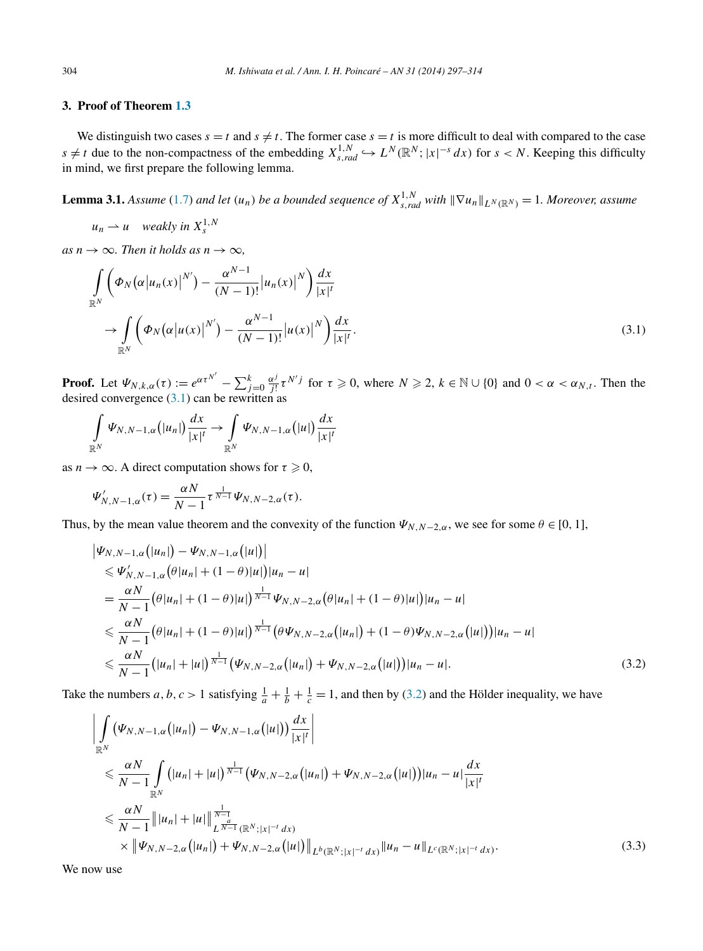#### <span id="page-7-0"></span>**3. Proof of Theorem [1.3](#page-3-0)**

We distinguish two cases  $s = t$  and  $s \neq t$ . The former case  $s = t$  is more difficult to deal with compared to the case *s* ≠ *t* due to the non-compactness of the embedding  $X_{s,rad}^{1,N}$   $\hookrightarrow$   $L^N(\mathbb{R}^N; |x|^{-s} dx)$  for *s* < *N*. Keeping this difficulty in mind, we first prepare the following lemma.

**Lemma 3.1.** Assume [\(1.7\)](#page-2-0) and let  $(u_n)$  be a bounded sequence of  $X_{s,rad}^{1,N}$  with  $\|\nabla u_n\|_{L^N(\mathbb{R}^N)}=1$ . Moreover, assume

 $u_n \rightharpoonup u$  *weakly in*  $X_s^{1,N}$ 

 $as n \rightarrow \infty$ *. Then it holds as*  $n \rightarrow \infty$ *,* 

$$
\int_{\mathbb{R}^N} \left( \Phi_N(\alpha |u_n(x)|^{N'}) - \frac{\alpha^{N-1}}{(N-1)!} |u_n(x)|^N \right) \frac{dx}{|x|^t}
$$
\n
$$
\to \int_{\mathbb{R}^N} \left( \Phi_N(\alpha |u(x)|^{N'}) - \frac{\alpha^{N-1}}{(N-1)!} |u(x)|^N \right) \frac{dx}{|x|^t}.
$$
\n(3.1)

**Proof.** Let  $\Psi_{N,k,\alpha}(\tau) := e^{\alpha \tau^{N'}} - \sum_{j=0}^k \frac{\alpha^j}{j!} \tau^{N'j}$  for  $\tau \ge 0$ , where  $N \ge 2$ ,  $k \in \mathbb{N} \cup \{0\}$  and  $0 < \alpha < \alpha_{N,t}$ . Then the desired convergence (3.1) can be rewritten as

$$
\int\limits_{\mathbb{R}^N}\Psi_{N,N-1,\alpha}\big(|u_n|\big)\frac{dx}{|x|^t}\to \int\limits_{\mathbb{R}^N}\Psi_{N,N-1,\alpha}\big(|u|\big)\frac{dx}{|x|^t}
$$

as  $n \to \infty$ . A direct computation shows for  $\tau \geq 0$ ,

$$
\Psi'_{N,N-1,\alpha}(\tau) = \frac{\alpha N}{N-1} \tau^{\frac{1}{N-1}} \Psi_{N,N-2,\alpha}(\tau).
$$

Thus, by the mean value theorem and the convexity of the function  $\Psi_{N,N-2,\alpha}$ , we see for some  $\theta \in [0, 1]$ ,

$$
\begin{split}\n\left|\Psi_{N,N-1,\alpha}\left(|u_{n}|\right)-\Psi_{N,N-1,\alpha}\left(|u|\right)\right| \\
&\leqslant \Psi'_{N,N-1,\alpha}\left(\theta|u_{n}|+(1-\theta)|u|\right)|u_{n}-u| \\
&=\frac{\alpha N}{N-1}\left(\theta|u_{n}|+(1-\theta)|u|\right)^{\frac{1}{N-1}}\Psi_{N,N-2,\alpha}\left(\theta|u_{n}|+(1-\theta)|u|\right)|u_{n}-u| \\
&\leqslant \frac{\alpha N}{N-1}\left(\theta|u_{n}|+(1-\theta)|u|\right)^{\frac{1}{N-1}}\left(\theta\Psi_{N,N-2,\alpha}\left(|u_{n}|\right)+(1-\theta)\Psi_{N,N-2,\alpha}\left(|u|\right)\right)|u_{n}-u| \\
&\leqslant \frac{\alpha N}{N-1}\left(|u_{n}|+|u|\right)^{\frac{1}{N-1}}\left(\Psi_{N,N-2,\alpha}\left(|u_{n}|\right)+\Psi_{N,N-2,\alpha}\left(|u|\right)\right)|u_{n}-u|. \n\end{split} \tag{3.2}
$$

Take the numbers *a*, *b*, *c* > 1 satisfying  $\frac{1}{a} + \frac{1}{b} + \frac{1}{c} = 1$ , and then by (3.2) and the Hölder inequality, we have

$$
\left| \int_{\mathbb{R}^N} (\Psi_{N,N-1,\alpha}(|u_n|) - \Psi_{N,N-1,\alpha}(|u|)) \frac{dx}{|x|^t} \right|
$$
  
\n
$$
\leq \frac{\alpha N}{N-1} \int_{\mathbb{R}^N} (|u_n| + |u|)^{\frac{1}{N-1}} (\Psi_{N,N-2,\alpha}(|u_n|) + \Psi_{N,N-2,\alpha}(|u|)) |u_n - u| \frac{dx}{|x|^t}
$$
  
\n
$$
\leq \frac{\alpha N}{N-1} \| |u_n| + |u| \|_{L^{\frac{1}{N-1}}(\mathbb{R}^N;|x|^{-t} dx)} \times \| \Psi_{N,N-2,\alpha}(|u_n|) + \Psi_{N,N-2,\alpha}(|u|) \|_{L^b(\mathbb{R}^N;|x|^{-t} dx)} \| u_n - u \|_{L^c(\mathbb{R}^N;|x|^{-t} dx)} .
$$
\n(3.3)

We now use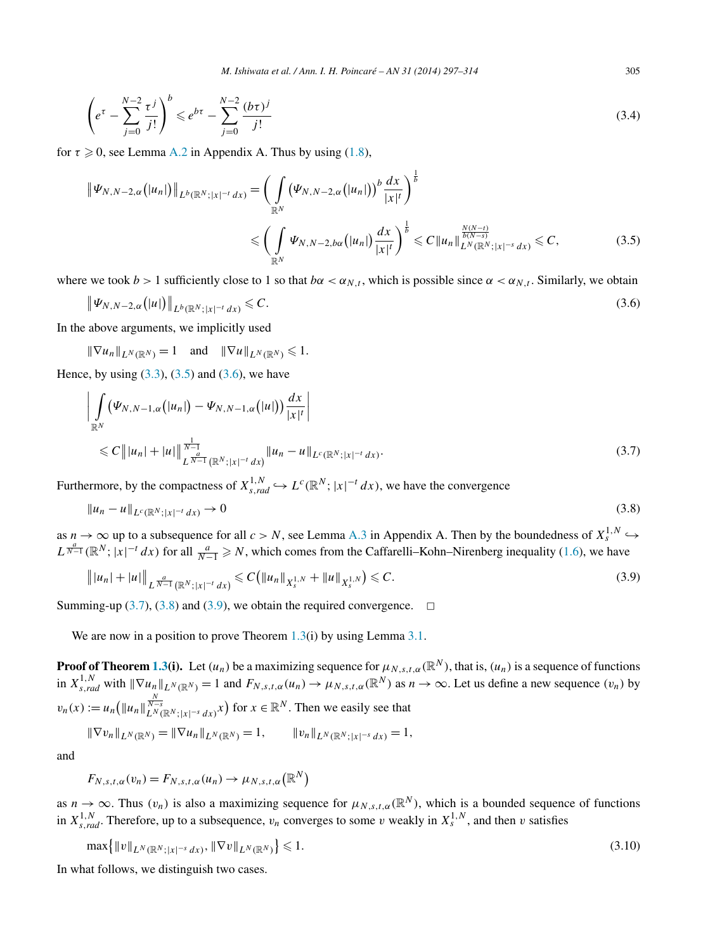*M. Ishiwata et al. / Ann. I. H. Poincaré – AN 31 (2014) 297–314* 305

<span id="page-8-0"></span>
$$
\left(e^{\tau} - \sum_{j=0}^{N-2} \frac{\tau^j}{j!}\right)^b \leqslant e^{b\tau} - \sum_{j=0}^{N-2} \frac{(b\tau)^j}{j!} \tag{3.4}
$$

for  $\tau \geqslant 0$ , see Lemma [A.2](#page-15-0) in Appendix A. Thus by using  $(1.8)$ ,

$$
\|\Psi_{N,N-2,\alpha}(|u_n|)\|_{L^b(\mathbb{R}^N;|x|^{-t}dx)} = \left(\int_{\mathbb{R}^N} (\Psi_{N,N-2,\alpha}(|u_n|))^b \frac{dx}{|x|^t}\right)^{\frac{1}{b}}\n\leq \left(\int_{\mathbb{R}^N} \Psi_{N,N-2,b\alpha}(|u_n|) \frac{dx}{|x|^t}\right)^{\frac{1}{b}} \leq C \|u_n\|_{L^N(\mathbb{R}^N;|x|^{-s}dx)}^{\frac{N(N-t)}{b(N-s)}} \leq C,
$$
\n(3.5)

where we took  $b > 1$  sufficiently close to 1 so that  $b\alpha < \alpha_{N,t}$ , which is possible since  $\alpha < \alpha_{N,t}$ . Similarly, we obtain

$$
\|\Psi_{N,N-2,\alpha}(|u|)\|_{L^b(\mathbb{R}^N;|x|^{-t}dx)} \leqslant C.
$$
\n(3.6)

In the above arguments, we implicitly used

 $\|\nabla u_n\|_{L^N(\mathbb{R}^N)} = 1$  and  $\|\nabla u\|_{L^N(\mathbb{R}^N)} \leq 1$ .

Hence, by using  $(3.3)$ ,  $(3.5)$  and  $(3.6)$ , we have

$$
\left| \int_{\mathbb{R}^N} (\Psi_{N,N-1,\alpha}(|u_n|) - \Psi_{N,N-1,\alpha}(|u|)) \frac{dx}{|x|^t} \right|
$$
  
\n
$$
\leq C ||u_n| + |u|| \frac{\frac{1}{N-1}}{L^{\frac{d}{N-1}} (\mathbb{R}^N;|x|^{-t} dx)} ||u_n - u||_{L^c (\mathbb{R}^N;|x|^{-t} dx)}.
$$
\n(3.7)

Furthermore, by the compactness of  $X^{1,N}_{s,rad} \hookrightarrow L^c(\mathbb{R}^N; |x|^{-t} dx)$ , we have the convergence

$$
||u_n - u||_{L^c(\mathbb{R}^N;|x|^{-t}dx)} \to 0
$$
\n(3.8)

as  $n \to \infty$  up to a subsequence for all  $c > N$ , see Lemma [A.3](#page-15-0) in Appendix A. Then by the boundedness of  $X_s^{1,N} \hookrightarrow$  $L^{\frac{a}{N-1}}(\mathbb{R}^N; |x|^{-t} dx)$  for all  $\frac{a}{N-1} \ge N$ , which comes from the Caffarelli–Kohn–Nirenberg inequality [\(1.6\)](#page-1-0), we have

$$
||u_n| + |u||_{L^{\frac{a}{N-1}}(\mathbb{R}^N;|x|^{-t}dx)} \leq C(||u_n||_{X_s^{1,N}} + ||u||_{X_s^{1,N}}) \leq C.
$$
\n(3.9)

Summing-up  $(3.7)$ ,  $(3.8)$  and  $(3.9)$ , we obtain the required convergence.  $\Box$ 

We are now in a position to prove Theorem [1.3\(](#page-3-0)i) by using Lemma [3.1.](#page-7-0)

**Proof of Theorem [1.3\(](#page-3-0)i).** Let  $(u_n)$  be a maximizing sequence for  $\mu_{N,s,t,\alpha}(\mathbb{R}^N)$ , that is,  $(u_n)$  is a sequence of functions in  $X_{s,rad}^{1,N}$  with  $\|\nabla u_n\|_{L^N(\mathbb{R}^N)} = 1$  and  $F_{N,s,t,\alpha}(u_n) \to \mu_{N,s,t,\alpha}(\mathbb{R}^N)$  as  $n \to \infty$ . Let us define a new sequence  $(v_n)$  by  $v_n(x) := u_n \left( \|u_n\|_{L^N(\mathbb{R}^N; |x|^{-s} dx)}^{\frac{N}{N-s}} \right)$  for  $x \in \mathbb{R}^N$ . Then we easily see that

$$
\|\nabla v_n\|_{L^N(\mathbb{R}^N)} = \|\nabla u_n\|_{L^N(\mathbb{R}^N)} = 1, \qquad \|v_n\|_{L^N(\mathbb{R}^N;|x|^{-s}dx)} = 1,
$$

and

 $F_{N,s,t,\alpha}(v_n) = F_{N,s,t,\alpha}(u_n) \rightarrow \mu_{N,s,t,\alpha}(\mathbb{R}^N)$ 

as  $n \to \infty$ . Thus  $(v_n)$  is also a maximizing sequence for  $\mu_{N,s,t,\alpha}(\mathbb{R}^N)$ , which is a bounded sequence of functions in  $X_{s, rad}^{1,N}$ . Therefore, up to a subsequence,  $v_n$  converges to some *v* weakly in  $X_s^{1,N}$ , and then *v* satisfies

$$
\max\{|v\|_{L^N(\mathbb{R}^N;|x|^{-s}\,dx)},\|\nabla v\|_{L^N(\mathbb{R}^N)}\}\leq 1.
$$
\n(3.10)

In what follows, we distinguish two cases.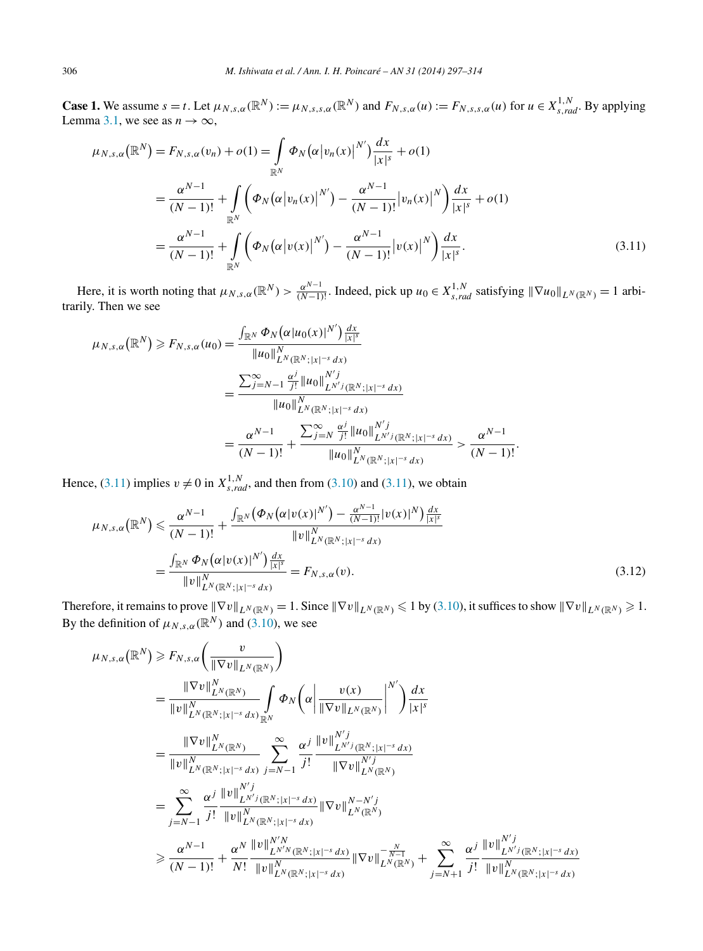<span id="page-9-0"></span>**Case 1.** We assume  $s = t$ . Let  $\mu_{N,s,\alpha}(\mathbb{R}^N) := \mu_{N,s,s,\alpha}(\mathbb{R}^N)$  and  $F_{N,s,\alpha}(u) := F_{N,s,s,\alpha}(u)$  for  $u \in X^{1,N}_{s,rad}$ . By applying Lemma [3.1,](#page-7-0) we see as  $n \to \infty$ ,

$$
\mu_{N,s,\alpha}(\mathbb{R}^{N}) = F_{N,s,\alpha}(v_{n}) + o(1) = \int_{\mathbb{R}^{N}} \Phi_{N}(\alpha |v_{n}(x)|^{N'}) \frac{dx}{|x|^{s}} + o(1)
$$
  

$$
= \frac{\alpha^{N-1}}{(N-1)!} + \int_{\mathbb{R}^{N}} \left( \Phi_{N}(\alpha |v_{n}(x)|^{N'}) - \frac{\alpha^{N-1}}{(N-1)!} |v_{n}(x)|^{N} \right) \frac{dx}{|x|^{s}} + o(1)
$$
  

$$
= \frac{\alpha^{N-1}}{(N-1)!} + \int_{\mathbb{R}^{N}} \left( \Phi_{N}(\alpha |v(x)|^{N'}) - \frac{\alpha^{N-1}}{(N-1)!} |v(x)|^{N} \right) \frac{dx}{|x|^{s}}.
$$
 (3.11)

Here, it is worth noting that  $\mu_{N,s,\alpha}(\mathbb{R}^N) > \frac{\alpha^{N-1}}{(N-1)!}$ . Indeed, pick up  $u_0 \in X_{s,rad}^{1,N}$  satisfying  $\|\nabla u_0\|_{L^N(\mathbb{R}^N)} = 1$  arbitrarily. Then we see

$$
\mu_{N,s,\alpha}(\mathbb{R}^N) \ge F_{N,s,\alpha}(u_0) = \frac{\int_{\mathbb{R}^N} \Phi_N(\alpha|u_0(x)|^{N'}) \frac{dx}{|x|^s}}{\|u_0\|_{L^N(\mathbb{R}^N;|x|^{-s}dx)}} \\
= \frac{\sum_{j=N-1}^{\infty} \frac{\alpha^j}{j!} \|u_0\|_{L^{N'j}(\mathbb{R}^N;|x|^{-s}dx)}}{\|u_0\|_{L^N(\mathbb{R}^N;|x|^{-s}dx)}} \\
= \frac{\alpha^{N-1}}{(N-1)!} + \frac{\sum_{j=N}^{\infty} \frac{\alpha^j}{j!} \|u_0\|_{L^{N'j}(\mathbb{R}^N;|x|^{-s}dx)}}{\|u_0\|_{L^N(\mathbb{R}^N;|x|^{-s}dx)}} > \frac{\alpha^{N-1}}{(N-1)!}.
$$

Hence, (3.11) implies  $v \neq 0$  in  $X_{s,rad}^{1,N}$ , and then from [\(3.10\)](#page-8-0) and (3.11), we obtain

$$
\mu_{N,s,\alpha}(\mathbb{R}^N) \leq \frac{\alpha^{N-1}}{(N-1)!} + \frac{\int_{\mathbb{R}^N} (\Phi_N(\alpha |v(x)|^{N'}) - \frac{\alpha^{N-1}}{(N-1)!} |v(x)|^N) \frac{dx}{|x|^s}}{\|v\|_{L^N(\mathbb{R}^N;|x|^{-s} dx)}^N}
$$

$$
= \frac{\int_{\mathbb{R}^N} \Phi_N(\alpha |v(x)|^{N'}) \frac{dx}{|x|^s}}{\|v\|_{L^N(\mathbb{R}^N;|x|^{-s} dx)}^N} = F_{N,s,\alpha}(v).
$$
(3.12)

Therefore, it remains to prove  $\|\nabla v\|_{L^N(\mathbb{R}^N)} = 1$ . Since  $\|\nabla v\|_{L^N(\mathbb{R}^N)} \le 1$  by [\(3.10\)](#page-8-0), it suffices to show  $\|\nabla v\|_{L^N(\mathbb{R}^N)} \ge 1$ . By the definition of  $\mu_{N,s,\alpha}(\mathbb{R}^N)$  and [\(3.10\)](#page-8-0), we see

$$
\mu_{N,s,\alpha}(\mathbb{R}^{N}) \geq F_{N,s,\alpha} \left( \frac{v}{\|\nabla v\|_{L^{N}(\mathbb{R}^{N})}^{N}} \right)
$$
\n
$$
= \frac{\|\nabla v\|_{L^{N}(\mathbb{R}^{N})}^{N}}{\|v\|_{L^{N}(\mathbb{R}^{N};|x|^{-s}dx)}^{N}} \int_{\mathbb{R}^{N}} \Phi_{N} \left( \alpha \left| \frac{v(x)}{\|\nabla v\|_{L^{N}(\mathbb{R}^{N})}^{N}} \right|^{N'} \right) \frac{dx}{|x|^{s}}
$$
\n
$$
= \frac{\|\nabla v\|_{L^{N}(\mathbb{R}^{N})}^{N}}{\|v\|_{L^{N}(\mathbb{R}^{N};|x|^{-s}dx)}^{N}} \sum_{j=N-1}^{\infty} \frac{\alpha^{j}}{j!} \frac{\|v\|_{L^{N'j}(\mathbb{R}^{N};|x|^{-s}dx)}{\|\nabla v\|_{L^{N}(\mathbb{R}^{N})}^{N'j}}}{\|\nabla v\|_{L^{N}(\mathbb{R}^{N})}^{N'j}}
$$
\n
$$
\geq \frac{\alpha^{j}}{j!} \frac{\|v\|_{L^{N'j}(\mathbb{R}^{N};|x|^{-s}dx)}{\|v\|_{L^{N}(\mathbb{R}^{N};|x|^{-s}dx)}} \|\nabla v\|_{L^{N}(\mathbb{R}^{N})}^{N-N'j}}{\|v\|_{L^{N}(\mathbb{R}^{N})}^{N'j}} \geq \frac{\alpha^{N-1}}{(N-1)!} + \frac{\alpha^{N}}{N!} \frac{\|v\|_{L^{N'N}(\mathbb{R}^{N};|x|^{-s}dx)}{\|v\|_{L^{N}(\mathbb{R}^{N};|x|^{-s}dx)}} \|\nabla v\|_{L^{N}(\mathbb{R}^{N})}^{-\frac{N}{N-1}} + \sum_{j=N+1}^{\infty} \frac{\alpha^{j}}{j!} \frac{\|v\|_{L^{N'j}(\mathbb{R}^{N};|x|^{-s}dx)}{\|v\|_{L^{N}(\mathbb{R}^{N};|x|^{-s}dx)}}
$$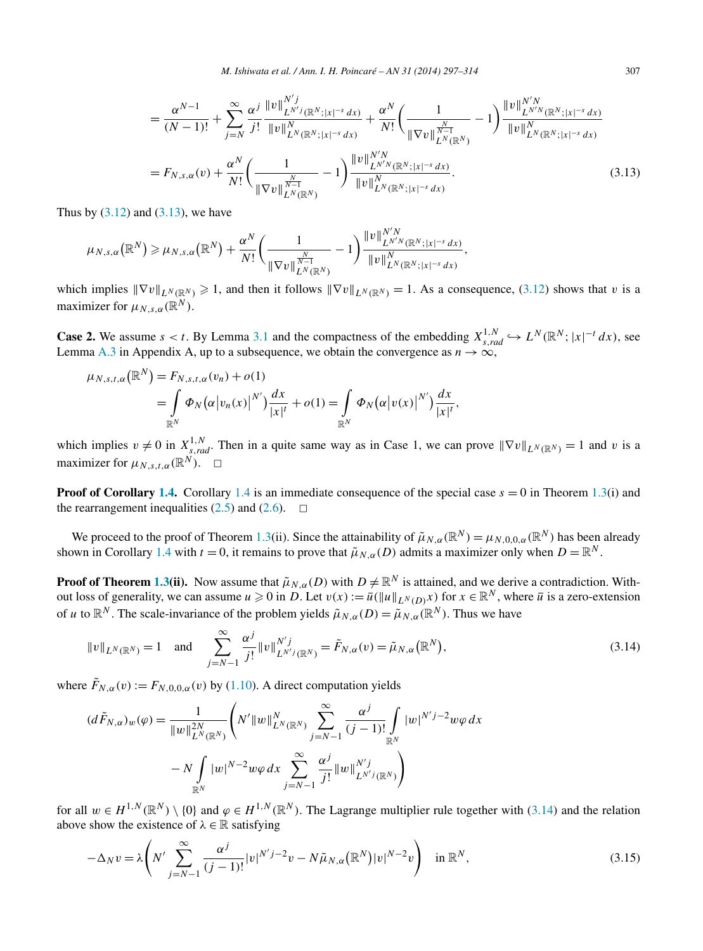<span id="page-10-0"></span>
$$
= \frac{\alpha^{N-1}}{(N-1)!} + \sum_{j=N}^{\infty} \frac{\alpha^{j}}{j!} \frac{\|v\|_{L^{N'j}(\mathbb{R}^N;|x|^{-s}dx)}}{\|v\|_{L^N(\mathbb{R}^N;|x|^{-s}dx)}} + \frac{\alpha^N}{N!} \left(\frac{1}{\|\nabla v\|_{L^N(\mathbb{R}^N)}^{\frac{N}{N-1}}}-1\right) \frac{\|v\|_{L^{N'N}(\mathbb{R}^N;|x|^{-s}dx)}}{\|v\|_{L^N(\mathbb{R}^N)}^{\frac{N}{N-1}}}\n= F_{N,s,\alpha}(v) + \frac{\alpha^N}{N!} \left(\frac{1}{\|\nabla v\|_{L^N(\mathbb{R}^N;|x|^{-s}dx)}} -1\right) \frac{\|v\|_{L^{N'N}(\mathbb{R}^N)}}{\|v\|_{L^N(\mathbb{R}^N;|x|^{-s}dx)}}{\|v\|_{L^N(\mathbb{R}^N;|x|^{-s}dx)}}.
$$
\n(3.13)

Thus by  $(3.12)$  and  $(3.13)$ , we have

$$
\mu_{N,s,\alpha}(\mathbb{R}^N) \geq \mu_{N,s,\alpha}(\mathbb{R}^N) + \frac{\alpha^N}{N!} \bigg( \frac{1}{\|\nabla v\|_{L^N(\mathbb{R}^N)}^{\frac{N}{N-1}}} - 1 \bigg) \frac{\|v\|_{L^{N'}N(\mathbb{R}^N;|x|^{-s}dx)}^{N'N}}{\|v\|_{L^N(\mathbb{R}^N;|x|^{-s}dx)}^{N}},
$$

which implies  $\|\nabla v\|_{L^N(\mathbb{R}^N)} \ge 1$ , and then it follows  $\|\nabla v\|_{L^N(\mathbb{R}^N)} = 1$ . As a consequence, [\(3.12\)](#page-9-0) shows that *v* is a maximizer for  $\mu_{N,s,\alpha}(\mathbb{R}^N)$ .

**Case 2.** We assume  $s < t$ . By Lemma [3.1](#page-7-0) and the compactness of the embedding  $X_{s,rad}^{1,N} \hookrightarrow L^N(\mathbb{R}^N; |x|^{-t} dx)$ , see Lemma [A.3](#page-15-0) in Appendix A, up to a subsequence, we obtain the convergence as  $n \to \infty$ ,

$$
\mu_{N,s,t,\alpha}(\mathbb{R}^N) = F_{N,s,t,\alpha}(v_n) + o(1)
$$
  
= 
$$
\int_{\mathbb{R}^N} \Phi_N(\alpha |v_n(x)|^{N'}) \frac{dx}{|x|^t} + o(1) = \int_{\mathbb{R}^N} \Phi_N(\alpha |v(x)|^{N'}) \frac{dx}{|x|^t},
$$

which implies  $v \neq 0$  in  $X_{s,rad}^{1,N}$ . Then in a quite same way as in Case 1, we can prove  $\|\nabla v\|_{L^N(\mathbb{R}^N)} = 1$  and v is a maximizer for  $\mu_{N,st,\alpha}(\mathbb{R}^N)$ .  $\Box$ 

**Proof of Corollary [1.4.](#page-3-0)** Corollary [1.4](#page-3-0) is an immediate consequence of the special case  $s = 0$  in Theorem [1.3\(](#page-3-0)i) and the rearrangement inequalities  $(2.5)$  and  $(2.6)$ .  $\Box$ 

We proceed to the proof of Theorem [1.3\(](#page-3-0)ii). Since the attainability of  $\tilde{\mu}_{N,\alpha}(\mathbb{R}^N) = \mu_{N,0,0,\alpha}(\mathbb{R}^N)$  has been already shown in Corollary [1.4](#page-3-0) with  $t = 0$ , it remains to prove that  $\tilde{\mu}_{N,\alpha}(D)$  admits a maximizer only when  $D = \mathbb{R}^N$ .

**Proof of Theorem [1.3\(](#page-3-0)ii).** Now assume that  $\tilde{\mu}_{N,\alpha}(D)$  with  $D \neq \mathbb{R}^N$  is attained, and we derive a contradiction. Without loss of generality, we can assume  $u \ge 0$  in *D*. Let  $v(x) := \overline{u}(\|u\|_{L^N(D)}x)$  for  $x \in \mathbb{R}^N$ , where  $\overline{u}$  is a zero-extension of *u* to  $\mathbb{R}^N$ . The scale-invariance of the problem yields  $\tilde{\mu}_{N,\alpha}(D) = \tilde{\mu}_{N,\alpha}(\mathbb{R}^N)$ . Thus we have

$$
||v||_{L^{N}(\mathbb{R}^{N})} = 1 \quad \text{and} \quad \sum_{j=N-1}^{\infty} \frac{\alpha^{j}}{j!} ||v||_{L^{N'j}(\mathbb{R}^{N})}^{N'j} = \tilde{F}_{N,\alpha}(v) = \tilde{\mu}_{N,\alpha}(\mathbb{R}^{N}),
$$
\n(3.14)

where  $\tilde{F}_{N,\alpha}(v) := F_{N,0,0,\alpha}(v)$  by [\(1.10\)](#page-2-0). A direct computation yields

$$
(d\tilde{F}_{N,\alpha})_w(\varphi) = \frac{1}{\|w\|_{L^N(\mathbb{R}^N)}^{2N}} \left(N'\|w\|_{L^N(\mathbb{R}^N)}^N \sum_{j=N-1}^{\infty} \frac{\alpha^j}{(j-1)!} \int_{\mathbb{R}^N} |w|^{N'j-2} w\varphi \, dx \right. \\ \left. - N \int_{\mathbb{R}^N} |w|^{N-2} w\varphi \, dx \sum_{j=N-1}^{\infty} \frac{\alpha^j}{j!} \|w\|_{L^{N'j}(\mathbb{R}^N)}^{N'j} \right)
$$

for all  $w \in H^{1,N}(\mathbb{R}^N) \setminus \{0\}$  and  $\varphi \in H^{1,N}(\mathbb{R}^N)$ . The Lagrange multiplier rule together with (3.14) and the relation above show the existence of  $\lambda \in \mathbb{R}$  satisfying

$$
-\Delta_N v = \lambda \left( N' \sum_{j=N-1}^{\infty} \frac{\alpha^j}{(j-1)!} |v|^{N'j-2} v - N \tilde{\mu}_{N,\alpha}(\mathbb{R}^N) |v|^{N-2} v \right) \quad \text{in } \mathbb{R}^N,
$$
\n
$$
(3.15)
$$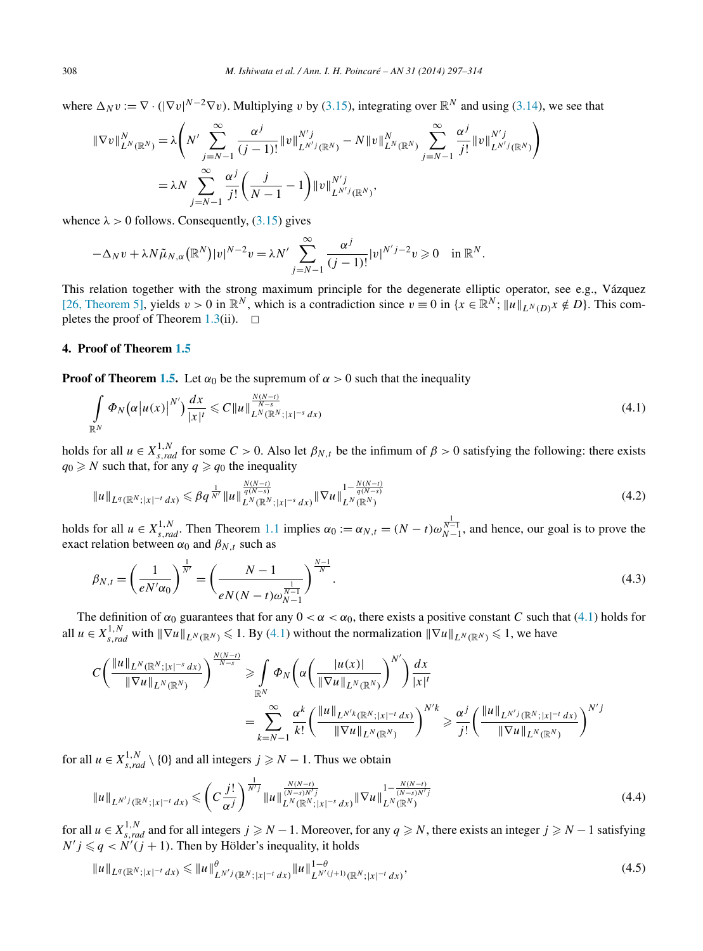<span id="page-11-0"></span>where  $\Delta_N v := \nabla \cdot (|\nabla v|^{N-2} \nabla v)$ . Multiplying *v* by [\(3.15\)](#page-10-0), integrating over  $\mathbb{R}^N$  and using [\(3.14\)](#page-10-0), we see that

$$
\begin{split} \|\nabla v\|_{L^N(\mathbb{R}^N)}^N &= \lambda \left( N' \sum_{j=N-1}^\infty \frac{\alpha^j}{(j-1)!} \|v\|_{L^{N'j}(\mathbb{R}^N)}^{N'j} - N \|v\|_{L^N(\mathbb{R}^N)}^N \sum_{j=N-1}^\infty \frac{\alpha^j}{j!} \|v\|_{L^{N'j}(\mathbb{R}^N)}^{N'j} \right) \\ &= \lambda N \sum_{j=N-1}^\infty \frac{\alpha^j}{j!} \left( \frac{j}{N-1} - 1 \right) \|v\|_{L^{N'j}(\mathbb{R}^N)}^{N'j}, \end{split}
$$

whence  $\lambda > 0$  follows. Consequently,  $(3.15)$  gives

$$
-\Delta_N v + \lambda N \tilde{\mu}_{N,\alpha}(\mathbb{R}^N)|v|^{N-2}v = \lambda N' \sum_{j=N-1}^{\infty} \frac{\alpha^j}{(j-1)!} |v|^{N'j-2}v \geq 0 \quad \text{in } \mathbb{R}^N.
$$

This relation together with the strong maximum principle for the degenerate elliptic operator, see e.g., Vázquez [\[26, Theorem 5\],](#page-17-0) yields  $v > 0$  in  $\mathbb{R}^N$ , which is a contradiction since  $v \equiv 0$  in  $\{x \in \mathbb{R}^N; \|u\|_{L^N(D)} x \notin D\}$ . This com-pletes the proof of Theorem [1.3\(](#page-3-0)ii).  $\Box$ 

#### **4. Proof of Theorem [1.5](#page-4-0)**

**Proof of Theorem [1.5.](#page-4-0)** Let  $\alpha_0$  be the supremum of  $\alpha > 0$  such that the inequality

$$
\int_{\mathbb{R}^N} \Phi_N\big(\alpha \big| u(x) \big|^{N'}\big) \frac{dx}{|x|^t} \leqslant C \|u\|_{L^N(\mathbb{R}^N;|x|^{-s} dx)}^{\frac{N(N-t)}{N-s}} \tag{4.1}
$$

holds for all  $u \in X_{s,rad}^{1,N}$  for some  $C > 0$ . Also let  $\beta_{N,t}$  be the infimum of  $\beta > 0$  satisfying the following: there exists  $q_0 \ge N$  such that, for any  $q \ge q_0$  the inequality

$$
||u||_{L^{q}(\mathbb{R}^{N};|x|^{-t}dx)} \leq \beta q^{\frac{1}{N'}} ||u||_{L^{N}(\mathbb{R}^{N};|x|^{-s}dx)}^{\frac{N(N-t)}{q(N-s)}} ||\nabla u||_{L^{N}(\mathbb{R}^{N})}^{1-\frac{N(N-t)}{q(N-s)}} \tag{4.2}
$$

holds for all  $u \in X^{1,N}_{s,rad}$ . Then Theorem [1.1](#page-2-0) implies  $\alpha_0 := \alpha_{N,t} = (N-t)\omega_{N-1}^{\frac{1}{N-1}}$ , and hence, our goal is to prove the exact relation between  $\alpha_0$  and  $\beta_{N,t}$  such as

$$
\beta_{N,t} = \left(\frac{1}{e^{N/\alpha_0}}\right)^{\frac{1}{N'}} = \left(\frac{N-1}{e^{N(N-t)\omega_{N-1}^{\frac{1}{N-1}}}}\right)^{\frac{N-1}{N}}.
$$
\n(4.3)

The definition of  $\alpha_0$  guarantees that for any  $0 < \alpha < \alpha_0$ , there exists a positive constant *C* such that (4.1) holds for all  $u \in X_{s,rad}^{1,N}$  with  $\|\nabla u\|_{L^N(\mathbb{R}^N)} \leq 1$ . By (4.1) without the normalization  $\|\nabla u\|_{L^N(\mathbb{R}^N)} \leq 1$ , we have

$$
C\left(\frac{\|u\|_{L^N(\mathbb{R}^N;|x|^{-s}dx)}}{\|\nabla u\|_{L^N(\mathbb{R}^N)}}\right)^{\frac{N(N-t)}{N-s}} \geq \int_{\mathbb{R}^N} \Phi_N\left(\alpha\left(\frac{|u(x)|}{\|\nabla u\|_{L^N(\mathbb{R}^N)}}\right)^{N'}\right) \frac{dx}{|x|^t}
$$
  

$$
= \sum_{k=N-1}^{\infty} \frac{\alpha^k}{k!} \left(\frac{\|u\|_{L^{N'k}(\mathbb{R}^N;|x|^{-t}dx)}}{\|\nabla u\|_{L^N(\mathbb{R}^N)}}\right)^{N'k} \geq \frac{\alpha^j}{j!} \left(\frac{\|u\|_{L^{N'j}(\mathbb{R}^N;|x|^{-t}dx)}}{\|\nabla u\|_{L^N(\mathbb{R}^N)}}\right)^{N'j}
$$

for all  $u \in X_{s,rad}^{1,N} \setminus \{0\}$  and all integers  $j \ge N - 1$ . Thus we obtain

$$
||u||_{L^{N'j}(\mathbb{R}^N;|x|^{-t}dx)} \leqslant \left(C\frac{j!}{\alpha^j}\right)^{\frac{1}{N'j}}||u||_{L^N(\mathbb{R}^N;|x|^{-s}dx)}^{\frac{N(N-t)}{(N-s)N'j}}||\nabla u||_{L^N(\mathbb{R}^N)}^{1-\frac{N(N-t)}{(N-s)N'j}}\tag{4.4}
$$

for all  $u \in X^{1,N}_{s,rad}$  and for all integers  $j \geq N-1$ . Moreover, for any  $q \geq N$ , there exists an integer  $j \geq N-1$  satisfying  $N'j \leq q < N'(j + 1)$ . Then by Hölder's inequality, it holds

$$
||u||_{L^{q}(\mathbb{R}^{N};|x|^{-t}dx)} \leq ||u||_{L^{N'j}(\mathbb{R}^{N};|x|^{-t}dx)}^{\theta} ||u||_{L^{N'(j+1)}(\mathbb{R}^{N};|x|^{-t}dx)}^{1-\theta},
$$
\n(4.5)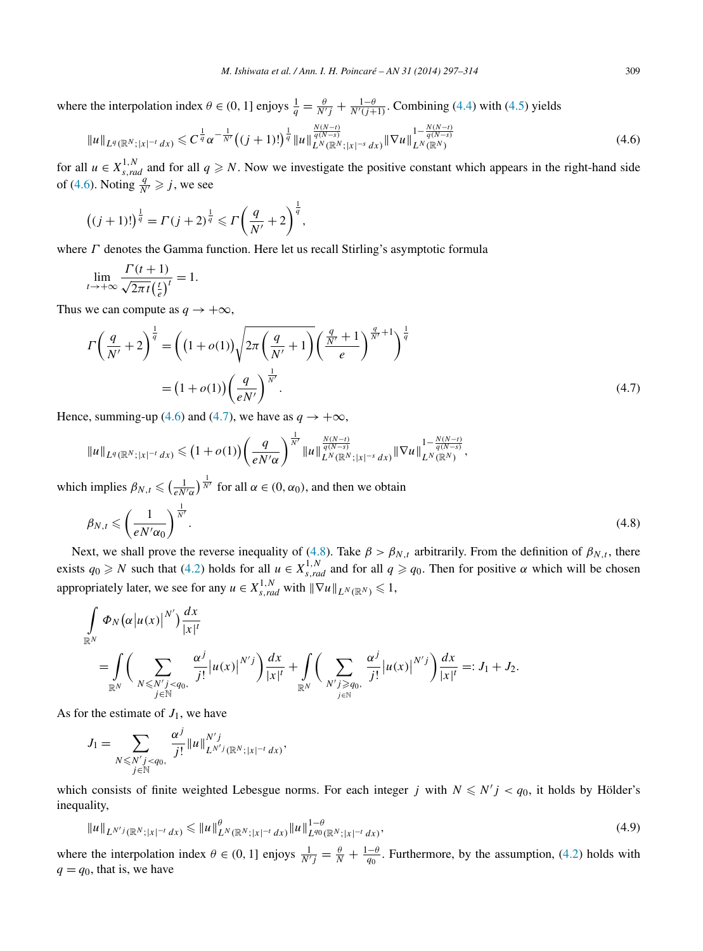<span id="page-12-0"></span>where the interpolation index  $\theta \in (0, 1]$  enjoys  $\frac{1}{q} = \frac{\theta}{N'j} + \frac{1-\theta}{N'(j+1)}$ . Combining [\(4.4\)](#page-11-0) with [\(4.5\)](#page-11-0) yields

$$
||u||_{L^{q}(\mathbb{R}^{N};|x|^{-t}dx)} \leq C^{\frac{1}{q}} \alpha^{-\frac{1}{N'}} \big( (j+1)!\big)^{\frac{1}{q}} ||u||_{L^{N}(\mathbb{R}^{N};|x|^{-s}dx)}^{\frac{N(N-t)}{q(N-s)}} ||\nabla u||_{L^{N}(\mathbb{R}^{N})}^{1-\frac{N(N-t)}{q(N-s)}} \tag{4.6}
$$

for all  $u \in X_{s,rad}^{1,N}$  and for all  $q \ge N$ . Now we investigate the positive constant which appears in the right-hand side of (4.6). Noting  $\frac{q}{N'} \geq j$ , we see

$$
((j+1)!)^{\frac{1}{q}} = \Gamma(j+2)^{\frac{1}{q}} \leq \Gamma\left(\frac{q}{N'}+2\right)^{\frac{1}{q}},
$$

where *Γ* denotes the Gamma function. Here let us recall Stirling's asymptotic formula

$$
\lim_{t \to +\infty} \frac{\Gamma(t+1)}{\sqrt{2\pi t} \left(\frac{t}{e}\right)^t} = 1.
$$

Thus we can compute as  $q \to +\infty$ ,

$$
\Gamma\left(\frac{q}{N'}+2\right)^{\frac{1}{q}} = \left((1+o(1))\sqrt{2\pi\left(\frac{q}{N'}+1\right)}\left(\frac{\frac{q}{N'}+1}{e}\right)^{\frac{q}{N'}+1}\right)^{\frac{1}{q}}
$$
\n
$$
= (1+o(1))\left(\frac{q}{eN'}\right)^{\frac{1}{N'}}.\tag{4.7}
$$

Hence, summing-up (4.6) and (4.7), we have as  $q \to +\infty$ ,

$$
||u||_{L^q(\mathbb{R}^N;|x|^{-t}dx)} \leq (1+o(1))\left(\frac{q}{eN'\alpha}\right)^{\frac{1}{N'}}||u||_{L^N(\mathbb{R}^N;|x|^{-s}dx)}^{\frac{N(N-t)}{q(N-s)}}||\nabla u||_{L^N(\mathbb{R}^N)}^{1-\frac{N(N-t)}{q(N-s)}},
$$

which implies  $\beta_{N,t} \leqslant \left(\frac{1}{e^{N/\alpha}}\right)^{\frac{1}{N'}}$  for all  $\alpha \in (0, \alpha_0)$ , and then we obtain

$$
\beta_{N,t} \leqslant \left(\frac{1}{e^{N' \alpha_0}}\right)^{\frac{1}{N'}}.\tag{4.8}
$$

Next, we shall prove the reverse inequality of (4.8). Take  $\beta > \beta_{N,t}$  arbitrarily. From the definition of  $\beta_{N,t}$ , there exists  $q_0 \ge N$  such that [\(4.2\)](#page-11-0) holds for all  $u \in X_{s,rad}^{1,N}$  and for all  $q \ge q_0$ . Then for positive  $\alpha$  which will be chosen appropriately later, we see for any  $u \in X_{s,rad}^{1,N}$  with  $\|\nabla u\|_{L^N(\mathbb{R}^N)} \leq 1$ ,

$$
\int_{\mathbb{R}^N} \Phi_N(\alpha|u(x)|^{N'}) \frac{dx}{|x|^t}
$$
\n
$$
= \int_{\mathbb{R}^N} \left( \sum_{N \le N'j < q_0, \atop j \in \mathbb{N}} \frac{\alpha^j}{j!} |u(x)|^{N'j} \right) \frac{dx}{|x|^t} + \int_{\mathbb{R}^N} \left( \sum_{N'j \ge q_0, \atop j \in \mathbb{N}} \frac{\alpha^j}{j!} |u(x)|^{N'j} \right) \frac{dx}{|x|^t} =: J_1 + J_2.
$$

As for the estimate of  $J_1$ , we have

$$
J_1 = \sum_{\substack{N \le N'j < q_0, \\ j \in \mathbb{N}}} \frac{\alpha^j}{j!} \|u\|_{L^{N'j}(\mathbb{R}^N;|x|^{-t} dx)}^{N'j},
$$

which consists of finite weighted Lebesgue norms. For each integer *j* with  $N \le N'j < q_0$ , it holds by Hölder's inequality,

$$
\|u\|_{L^{N'j}(\mathbb{R}^N;|x|^{-t}dx)} \leq \|u\|_{L^N(\mathbb{R}^N;|x|^{-t}dx)}^{\theta} \|u\|_{L^{q_0}(\mathbb{R}^N;|x|^{-t}dx)}^{1-\theta},
$$
\n(4.9)

where the interpolation index  $\theta \in (0, 1]$  enjoys  $\frac{1}{N'j} = \frac{\theta}{N} + \frac{1-\theta}{q_0}$ . Furthermore, by the assumption, [\(4.2\)](#page-11-0) holds with  $q = q_0$ , that is, we have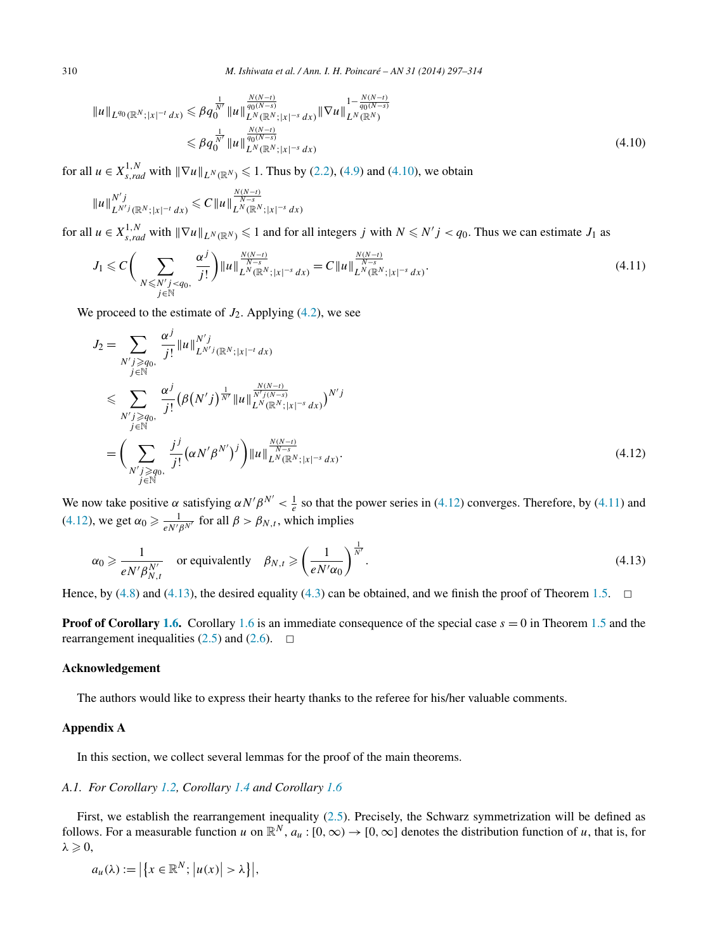$$
||u||_{L^{q_0}(\mathbb{R}^N;|x|^{-t}dx)} \leq \beta q_0^{\frac{1}{N'}} ||u||_{L^N(\mathbb{R}^N;|x|^{-s}dx)}^{\frac{N(N-t)}{q_0(N-s)}} ||\nabla u||_{L^N(\mathbb{R}^N)}^{1-\frac{N(N-t)}{q_0(N-s)}} \leq \beta q_0^{\frac{1}{N'}} ||u||_{L^N(\mathbb{R}^N;|x|^{-s}dx)}^{\frac{N(N-t)}{q_0(N-s)}}
$$
\n(4.10)

for all  $u \in X^{1,N}_{s,rad}$  with  $\|\nabla u\|_{L^N(\mathbb{R}^N)} \le 1$ . Thus by [\(2.2\)](#page-5-0), [\(4.9\)](#page-12-0) and (4.10), we obtain

$$
||u||_{L^{N'j}(\mathbb{R}^N;|x|^{-t}dx)}^{N'j} \leq C||u||_{L^N(\mathbb{R}^N;|x|^{-s}dx)}^{\frac{N(N-t)}{N-s}}
$$

for all  $u \in X_{s, rad}^{1,N}$  with  $\|\nabla u\|_{L^N(\mathbb{R}^N)} \leq 1$  and for all integers *j* with  $N \leq N'j < q_0$ . Thus we can estimate  $J_1$  as

$$
J_1 \leqslant C \bigg( \sum_{\substack{N \leqslant N'j < q_0, \\ j \in \mathbb{N}}} \frac{\alpha^j}{j!} \bigg) \|u\|_{L^N(\mathbb{R}^N; |x|^{-s} dx)}^{\frac{N(N-t)}{N-s}} = C \|u\|_{L^N(\mathbb{R}^N; |x|^{-s} dx)}^{\frac{N(N-t)}{N-s}}.
$$
\n(4.11)

We proceed to the estimate of  $J_2$ . Applying [\(4.2\)](#page-11-0), we see

$$
J_{2} = \sum_{\substack{N'j \geq q_{0}, \\ j \in \mathbb{N}}} \frac{\alpha^{j}}{j!} \|u\|_{L^{N'j}(\mathbb{R}^{N};|x|^{-t} dx)}^{N'j}
$$
  
\n
$$
\leqslant \sum_{\substack{N'j \geq q_{0}, \\ j \in \mathbb{N}}} \frac{\alpha^{j}}{j!} (\beta(N'j)^{\frac{1}{N'}} \|u\|_{L^{N}(\mathbb{R}^{N};|x|^{-s} dx)}^{\frac{N(N-t)}{N'j(N-s)}})^{N'j}
$$
  
\n
$$
= \left(\sum_{\substack{N'j \geq q_{0}, \\ j \in \mathbb{N}}} \frac{j^{j}}{j!} (\alpha N' \beta^{N'})^{j} \right) \|u\|_{L^{N}(\mathbb{R}^{N};|x|^{-s} dx)}^{\frac{N(N-t)}{N-s}}.
$$
\n(4.12)

We now take positive  $\alpha$  satisfying  $\alpha N' \beta^{N'} < \frac{1}{e}$  so that the power series in (4.12) converges. Therefore, by (4.11) and (4.12), we get  $\alpha_0 \ge \frac{1}{e^{N'}\beta^{N'}}$  for all  $\beta > \beta_{N,t}$ , which implies

$$
\alpha_0 \ge \frac{1}{eN'\beta_{N,t}^{N'}} \quad \text{or equivalently} \quad \beta_{N,t} \ge \left(\frac{1}{eN'\alpha_0}\right)^{\frac{1}{N'}}.
$$
 (4.13)

Hence, by [\(4.8\)](#page-12-0) and (4.13), the desired equality [\(4.3\)](#page-11-0) can be obtained, and we finish the proof of Theorem [1.5.](#page-4-0)  $\Box$ 

**Proof of Corollary [1.6.](#page-4-0)** Corollary [1.6](#page-4-0) is an immediate consequence of the special case  $s = 0$  in Theorem [1.5](#page-4-0) and the rearrangement inequalities [\(2.5\)](#page-6-0) and [\(2.6\)](#page-6-0).  $\Box$ 

#### **Acknowledgement**

The authors would like to express their hearty thanks to the referee for his/her valuable comments.

#### **Appendix A**

In this section, we collect several lemmas for the proof of the main theorems.

# *A.1. For Corollary [1.2,](#page-2-0) Corollary [1.4](#page-3-0) and Corollary [1.6](#page-4-0)*

First, we establish the rearrangement inequality [\(2.5\)](#page-6-0). Precisely, the Schwarz symmetrization will be defined as follows. For a measurable function *u* on  $\mathbb{R}^N$ ,  $a_u : [0, \infty) \to [0, \infty]$  denotes the distribution function of *u*, that is, for  $\lambda \geqslant 0,$ 

$$
a_u(\lambda) := \left| \left\{ x \in \mathbb{R}^N; \left| u(x) \right| > \lambda \right\} \right|,
$$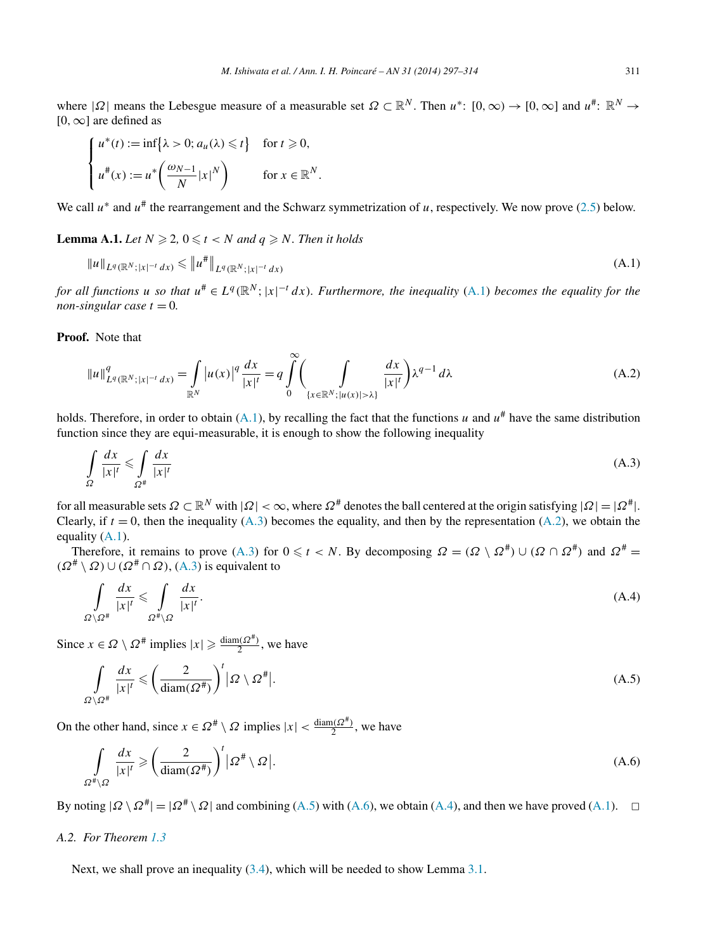<span id="page-14-0"></span>where  $|\Omega|$  means the Lebesgue measure of a measurable set  $\Omega \subset \mathbb{R}^N$ . Then  $u^*$ :  $[0, \infty) \to [0, \infty]$  and  $u^*$ :  $\mathbb{R}^N \to$ [0*,*∞] are defined as

$$
\begin{cases}\n u^*(t) := \inf\{\lambda > 0; a_u(\lambda) \leq t\} & \text{for } t \geq 0, \\
 u^*(x) := u^*\left(\frac{\omega_{N-1}}{N}|x|^N\right) & \text{for } x \in \mathbb{R}^N.\n\end{cases}
$$

We call  $u^*$  and  $u^*$  the rearrangement and the Schwarz symmetrization of  $u$ , respectively. We now prove [\(2.5\)](#page-6-0) below.

**Lemma A.1.** *Let*  $N \ge 2$ ,  $0 \le t < N$  *and*  $q \ge N$ *. Then it holds* 

$$
||u||_{L^{q}(\mathbb{R}^{N};|x|^{-t}dx)} \leq ||u^*||_{L^{q}(\mathbb{R}^{N};|x|^{-t}dx)}
$$
\n(A.1)

*for all functions u so that*  $u^* \in L^q(\mathbb{R}^N; |x|^{-t} dx)$ . Furthermore, the inequality (A.1) becomes the equality for the *non-singular case*  $t = 0$ .

**Proof.** Note that

$$
||u||_{L^{q}(\mathbb{R}^{N};|x|^{-t}dx)}^{q} = \int_{\mathbb{R}^{N}} |u(x)|^{q} \frac{dx}{|x|^{t}} = q \int_{0}^{\infty} \left( \int_{\{x \in \mathbb{R}^{N}; |u(x)| > \lambda\}} \frac{dx}{|x|^{t}} \right) \lambda^{q-1} d\lambda
$$
 (A.2)

holds. Therefore, in order to obtain (A.1), by recalling the fact that the functions *u* and  $u^{\#}$  have the same distribution function since they are equi-measurable, it is enough to show the following inequality

$$
\int_{\Omega} \frac{dx}{|x|^t} \le \int_{\Omega^\#} \frac{dx}{|x|^t} \tag{A.3}
$$

for all measurable sets  $\Omega \subset \mathbb{R}^N$  with  $|\Omega| < \infty$ , where  $\Omega^*$  denotes the ball centered at the origin satisfying  $|\Omega| = |\Omega^*|$ . Clearly, if  $t = 0$ , then the inequality (A.3) becomes the equality, and then by the representation (A.2), we obtain the equality  $(A.1)$ .

Therefore, it remains to prove (A.3) for  $0 \le t < N$ . By decomposing  $\Omega = (\Omega \setminus \Omega^{\#}) \cup (\Omega \cap \Omega^{\#})$  and  $\Omega^{\#} =$  $(\Omega^{\#} \setminus \Omega) \cup (\Omega^{\#} \cap \Omega)$ , (A.3) is equivalent to

$$
\int_{\Omega \setminus \Omega^{\#}} \frac{dx}{|x|^t} \leq \int_{\Omega^{\#} \setminus \Omega} \frac{dx}{|x|^t}.
$$
\n(A.4)

Since  $x \in \Omega \setminus \Omega^*$  implies  $|x| \ge \frac{\text{diam}(\Omega^*)}{2}$ , we have

$$
\int_{\Omega \setminus \Omega^{\#}} \frac{dx}{|x|^t} \leqslant \left(\frac{2}{\text{diam}(\Omega^{\#})}\right)^t |\Omega \setminus \Omega^{\#}|. \tag{A.5}
$$

On the other hand, since  $x \in \Omega^{\#} \setminus \Omega$  implies  $|x| < \frac{\text{diam}(\Omega^{\#})}{2}$ , we have

$$
\int_{\Omega^{\#}\backslash\Omega} \frac{dx}{|x|^{t}} \geqslant \left(\frac{2}{\text{diam}(\Omega^{\#})}\right)^{t} \left|\Omega^{\#}\backslash\Omega\right|.
$$
\n(A.6)

By noting  $|Q \setminus Q^*| = |Q^* \setminus Q|$  and combining (A.5) with (A.6), we obtain (A.4), and then we have proved (A.1).  $\Box$ 

## *A.2. For Theorem [1.3](#page-3-0)*

Next, we shall prove an inequality  $(3.4)$ , which will be needed to show Lemma [3.1.](#page-7-0)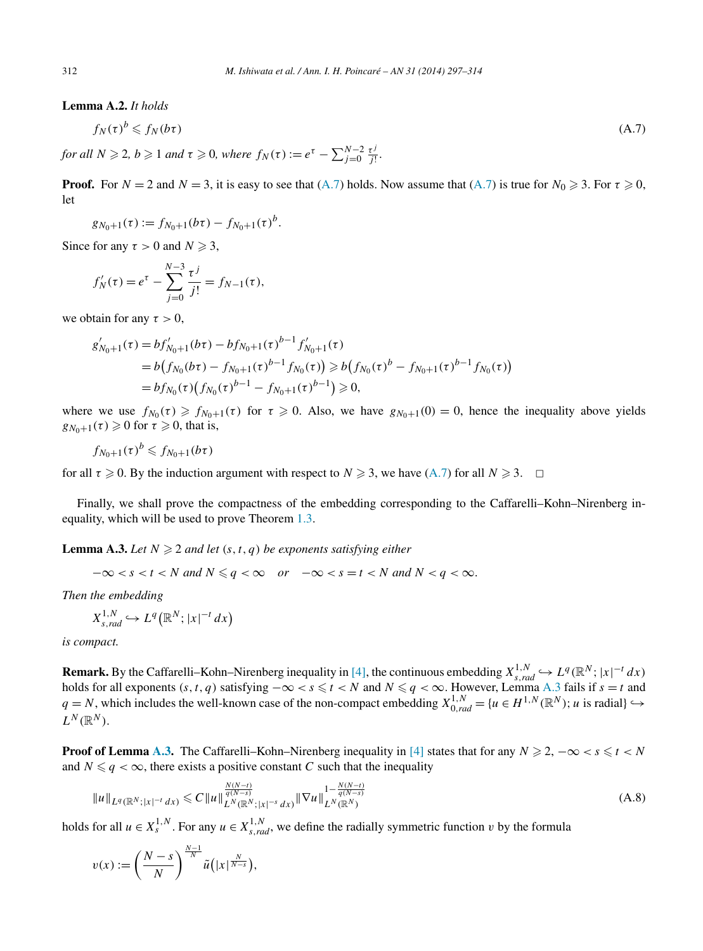<span id="page-15-0"></span>**Lemma A.2.** *It holds*

$$
f_N(\tau)^b \leqslant f_N(b\tau) \tag{A.7}
$$

*for all*  $N \ge 2$ ,  $b \ge 1$  *and*  $\tau \ge 0$ , *where*  $f_N(\tau) := e^{\tau} - \sum_{j=0}^{N-2} \frac{\tau^j}{j!}$ .

**Proof.** For  $N = 2$  and  $N = 3$ , it is easy to see that  $(A.7)$  holds. Now assume that  $(A.7)$  is true for  $N_0 \ge 3$ . For  $\tau \ge 0$ , let

$$
g_{N_0+1}(\tau) := f_{N_0+1}(b\tau) - f_{N_0+1}(\tau)^b.
$$

Since for any  $\tau > 0$  and  $N \geq 3$ ,

$$
f'_{N}(\tau) = e^{\tau} - \sum_{j=0}^{N-3} \frac{\tau^{j}}{j!} = f_{N-1}(\tau),
$$

we obtain for any  $\tau > 0$ ,

$$
g'_{N_0+1}(\tau) = bf'_{N_0+1}(b\tau) - bf_{N_0+1}(\tau)^{b-1} f'_{N_0+1}(\tau)
$$
  
=  $b(f_{N_0}(b\tau) - f_{N_0+1}(\tau)^{b-1} f_{N_0}(\tau)) \ge b(f_{N_0}(\tau)^b - f_{N_0+1}(\tau)^{b-1} f_{N_0}(\tau))$   
=  $bf'_{N_0}(\tau) (f_{N_0}(\tau)^{b-1} - f_{N_0+1}(\tau)^{b-1}) \ge 0,$ 

where we use  $f_{N_0}(\tau) \geq f_{N_0+1}(\tau)$  for  $\tau \geq 0$ . Also, we have  $g_{N_0+1}(0) = 0$ , hence the inequality above yields  $g_{N_0+1}(\tau) \geq 0$  for  $\tau \geq 0$ , that is,

$$
f_{N_0+1}(\tau)^b \leqslant f_{N_0+1}(b\tau)
$$

for all  $\tau \ge 0$ . By the induction argument with respect to  $N \ge 3$ , we have (A.7) for all  $N \ge 3$ .  $\Box$ 

Finally, we shall prove the compactness of the embedding corresponding to the Caffarelli–Kohn–Nirenberg inequality, which will be used to prove Theorem [1.3.](#page-3-0)

**Lemma A.3.** Let  $N \geq 2$  and let  $(s, t, q)$  be exponents satisfying either

$$
-\infty < s < t < N \text{ and } N \leqslant q < \infty \quad \text{or} \quad -\infty < s = t < N \text{ and } N < q < \infty.
$$

*Then the embedding*

$$
X^{1,N}_{s,rad} \hookrightarrow L^q(\mathbb{R}^N;|x|^{-t}dx)
$$

*is compact.*

**Remark.** By the Caffarelli–Kohn–Nirenberg inequality in [\[4\],](#page-17-0) the continuous embedding  $X_{s,rad}^{1,N} \hookrightarrow L^q(\mathbb{R}^N; |x|^{-t} dx)$ holds for all exponents  $(s, t, q)$  satisfying  $-\infty < s \leq t < N$  and  $N \leq q < \infty$ . However, Lemma A.3 fails if  $s = t$  and *q* = *N*, which includes the well-known case of the non-compact embedding  $X_{0,rad}^{1,N}$  = {*u* ∈ *H*<sup>1,*N*</sup> (ℝ<sup>*N*</sup>); *u* is radial}  $\hookrightarrow$  $L^N(\mathbb{R}^N)$ .

**Proof of Lemma A.3.** The Caffarelli–Kohn–Nirenberg inequality in [\[4\]](#page-17-0) states that for any  $N \ge 2$ ,  $-\infty < s \le t < N$ and  $N \leq q < \infty$ , there exists a positive constant *C* such that the inequality

$$
||u||_{L^{q}(\mathbb{R}^{N};|x|^{-t}dx)} \leq C||u||_{L^{N}(\mathbb{R}^{N};|x|^{-s}dx)}^{\frac{N(N-t)}{q(N-s)}}||\nabla u||_{L^{N}(\mathbb{R}^{N})}^{1-\frac{N(N-t)}{q(N-s)}}\tag{A.8}
$$

holds for all  $u \in X_s^{1,N}$ . For any  $u \in X_{s,rad}^{1,N}$ , we define the radially symmetric function *v* by the formula

$$
v(x) := \left(\frac{N-s}{N}\right)^{\frac{N-1}{N}} \tilde{u}\left(|x|^{\frac{N}{N-s}}\right),\,
$$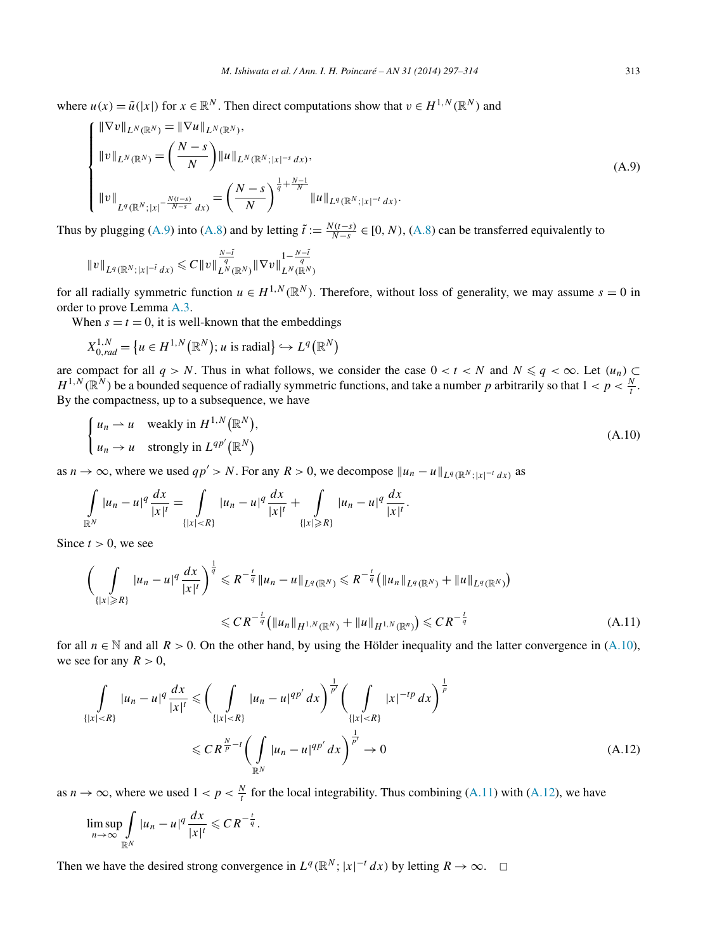where  $u(x) = \tilde{u}(|x|)$  for  $x \in \mathbb{R}^N$ . Then direct computations show that  $v \in H^{1,N}(\mathbb{R}^N)$  and

$$
\begin{cases} \|\nabla v\|_{L^N(\mathbb{R}^N)} = \|\nabla u\|_{L^N(\mathbb{R}^N)},\\ \|v\|_{L^N(\mathbb{R}^N)} = \left(\frac{N-s}{N}\right) \|u\|_{L^N(\mathbb{R}^N;|x|^{-s} dx)},\\ \|v\|_{L^q(\mathbb{R}^N;|x|^{-\frac{N(t-s)}{N-s}} dx)} = \left(\frac{N-s}{N}\right)^{\frac{1}{q} + \frac{N-1}{N}} \|u\|_{L^q(\mathbb{R}^N;|x|^{-t} dx)}. \end{cases} (A.9)
$$

Thus by plugging (A.9) into [\(A.8\)](#page-15-0) and by letting  $\tilde{t} := \frac{N(t-s)}{N-s} \in [0, N)$ , (A.8) can be transferred equivalently to

$$
||v||_{L^q(\mathbb{R}^N;|x|^{-\tilde{t}}dx)} \leq C||v||_{L^N(\mathbb{R}^N)}^{\frac{N-\tilde{t}}{q}}||\nabla v||_{L^N(\mathbb{R}^N)}^{1-\frac{N-\tilde{t}}{q}}
$$

for all radially symmetric function  $u \in H^{1,N}(\mathbb{R}^N)$ . Therefore, without loss of generality, we may assume  $s = 0$  in order to prove Lemma [A.3.](#page-15-0)

When  $s = t = 0$ , it is well-known that the embeddings

$$
X_{0,rad}^{1,N} = \left\{ u \in H^{1,N}(\mathbb{R}^N) ; u \text{ is radial} \right\} \hookrightarrow L^q(\mathbb{R}^N)
$$

are compact for all  $q > N$ . Thus in what follows, we consider the case  $0 < t < N$  and  $N \leq q < \infty$ . Let  $(u_n) \subset$  $H^{1,N}(\mathbb{R}^N)$  be a bounded sequence of radially symmetric functions, and take a number *p* arbitrarily so that  $1 < p < \frac{N}{t}$ . By the compactness, up to a subsequence, we have

$$
\begin{cases} u_n \to u & \text{weakly in } H^{1,N}(\mathbb{R}^N), \\ u_n \to u & \text{strongly in } L^{qp'}(\mathbb{R}^N) \end{cases} \tag{A.10}
$$

as *n*  $\rightarrow \infty$ , where we used *qp'* > *N*. For any *R* > 0, we decompose  $||u_n - u||_{L^q(\mathbb{R}^N; |x|^{-t} dx)}$  as

$$
\int_{\mathbb{R}^N} |u_n - u|^q \frac{dx}{|x|^t} = \int_{\{|x| < R\}} |u_n - u|^q \frac{dx}{|x|^t} + \int_{\{|x| \ge R\}} |u_n - u|^q \frac{dx}{|x|^t}.
$$

Since  $t > 0$ , we see

$$
\left(\int_{\{|x| \ge R\}} |u_n - u|^q \frac{dx}{|x|^t}\right)^{\frac{1}{q}} \le R^{-\frac{t}{q}} \|u_n - u\|_{L^q(\mathbb{R}^N)} \le R^{-\frac{t}{q}} \left(\|u_n\|_{L^q(\mathbb{R}^N)} + \|u\|_{L^q(\mathbb{R}^N)}\right)
$$
  

$$
\le CR^{-\frac{t}{q}} \left(\|u_n\|_{H^{1,N}(\mathbb{R}^N)} + \|u\|_{H^{1,N}(\mathbb{R}^n)}\right) \le CR^{-\frac{t}{q}}
$$
(A.11)

for all  $n \in \mathbb{N}$  and all  $R > 0$ . On the other hand, by using the Hölder inequality and the latter convergence in (A.10), we see for any  $R > 0$ ,

$$
\int_{\{|x| < R\}} |u_n - u|^q \frac{dx}{|x|^l} \leqslant \left(\int_{\{|x| < R\}} |u_n - u|^{qp'} dx\right)^{\frac{1}{p'}} \left(\int_{\{|x| < R\}} |x|^{-tp} dx\right)^{\frac{1}{p}} \leqslant C R^{\frac{N}{p}-l} \left(\int_{\mathbb{R}^N} |u_n - u|^{qp'} dx\right)^{\frac{1}{p'}} \to 0 \tag{A.12}
$$

as  $n \to \infty$ , where we used  $1 < p < \frac{N}{t}$  for the local integrability. Thus combining (A.11) with (A.12), we have

$$
\limsup_{n\to\infty}\int_{\mathbb{R}^N}|u_n-u|^q\frac{dx}{|x|^t}\leqslant CR^{-\frac{t}{q}}.
$$

Then we have the desired strong convergence in  $L^q(\mathbb{R}^N; |x|^{-t} dx)$  by letting  $R \to \infty$ .  $\Box$